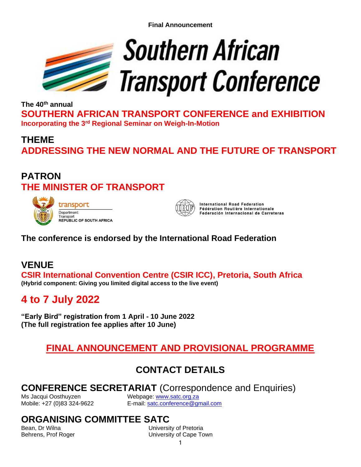**Final Announcement**



**The 40th annual SOUTHERN AFRICAN TRANSPORT CONFERENCE and EXHIBITION Incorporating the 3rd Regional Seminar on Weigh-In-Motion**

# **THEME ADDRESSING THE NEW NORMAL AND THE FUTURE OF TRANSPORT**

## **PATRON THE MINISTER OF TRANSPORT**





**International Road Federation** Fédération Routière Internationale Federación Internacional de Carreteras

### **The conference is endorsed by the International Road Federation**

## **VENUE**

**CSIR International Convention Centre (CSIR ICC), Pretoria, South Africa (Hybrid component: Giving you limited digital access to the live event)**

# **4 to 7 July 2022**

**"Early Bird" registration from 1 April - 10 June 2022 (The full registration fee applies after 10 June)**

# **FINAL ANNOUNCEMENT AND PROVISIONAL PROGRAMME**

# **CONTACT DETAILS**

### **CONFERENCE SECRETARIAT** (Correspondence and Enquiries)

Ms Jacqui Oosthuyzen Webpage: [www.satc.org.za](http://www.satc.org.za/)

Mobile: +27 (0)83 324-9622 E-mail: [satc.conference@gmail.com](mailto:satc.conference@gmail.com)

# **ORGANISING COMMITTEE SATC**

**University of Pretoria** Behrens, Prof Roger North Communisty of Cape Town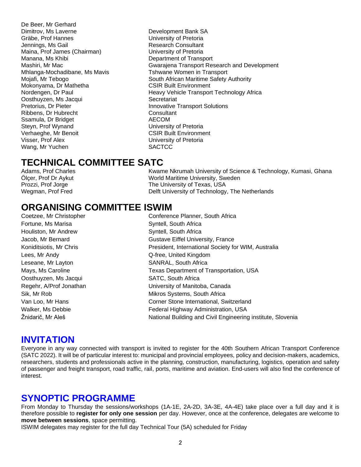De Beer, Mr Gerhard Dimitrov, Ms Laverne **Dimitrov, Ms Laverne Accord Contract Contract Development Bank SA** Gräbe, Prof Hannes University of Pretoria Jennings, Ms Gail **All Accord Consultant** Research Consultant Maina, Prof James (Chairman) University of Pretoria Manana, Ms Khibi **Nanana**, Ms Khibi **Nanana**, Ms Khibi **Department of Transport** Mhlanga-Mochadibane, Ms Mavis Tshwane Women in Transport Mokonyama, Dr Mathetha CSIR Built Environment Oosthuyzen, Ms Jacqui Secretariat Pretorius, Dr Pieter **Innovative Transport Solutions** Ribbens, Dr Hubrecht **Consultant** Consultant Consultant Consultant Consultant Consultant Consultant Consultant Consultant Consultant Consultant Consultant Consultant Consultant Consultant Consultant Consultant Consultant C Ssamula, Dr Bridget Steyn, Prof Wynand **Example 20 Steep and Steyn, Prof Wynand** Verhaeghe, Mr Benoit CSIR Built Environment Visser, Prof Alex University of Pretoria Wang, Mr Yuchen SACTCC

Mashiri, Mr Mac Gwarajena Transport Research and Development Mojafi, Mr Tebogo South African Maritime Safety Authority Nordengen, Dr Paul Heavy Vehicle Transport Technology Africa

## **TECHNICAL COMMITTEE SATC**

Adams, Prof Charles **Kwame Nkrumah University of Science & Technology**, Kumasi, Ghana Ölçer, Prof Dr Aykut World Maritime University, Sweden The University of Texas, USA Wegman, Prof Fred Delft University of Technology, The Netherlands

## **ORGANISING COMMITTEE ISWIM**

Fortune, Ms Marisa **Syntell**, South Africa Houliston, Mr Andrew Syntell, South Africa Lees, Mr Andy **Communist Communist Communist Communist Communist Communist Communist Communist Communist Communist Communist Communist Communist Communist Communist Communist Communist Communist Communist Communist Communi** Leseane, Mr Layton SANRAL, South Africa Oosthuyzen, Ms Jacqui SATC, South Africa

Coetzee, Mr Christopher Conference Planner, South Africa Jacob, Mr Bernard Gustave Eiffel University, France Koniditsiotis, Mr Chris **President, International Society for WIM**, Australia Mays, Ms Caroline Texas Department of Transportation, USA Regehr, A/Prof Jonathan University of Manitoba, Canada Sik, Mr Rob **Mikros Systems, South Africa** Van Loo, Mr Hans **Come International**, Switzerland Walker, Ms Debbie **Federal Highway Administration**, USA Žnidarič, Mr Aleš National Building and Civil Engineering institute, Slovenia

### **INVITATION**

Everyone in any way connected with transport is invited to register for the 40th Southern African Transport Conference (SATC 2022). It will be of particular interest to: municipal and provincial employees, policy and decision-makers, academics, researchers, students and professionals active in the planning, construction, manufacturing, logistics, operation and safety of passenger and freight transport, road traffic, rail, ports, maritime and aviation. End-users will also find the conference of interest.

### **SYNOPTIC PROGRAMME**

From Monday to Thursday the sessions/workshops (1A-1E, 2A-2D, 3A-3E, 4A-4E) take place over a full day and it is therefore possible to **register for only one session** per day. However, once at the conference, delegates are welcome to **move between sessions**, space permitting.

ISWIM delegates may register for the full day Technical Tour (5A) scheduled for Friday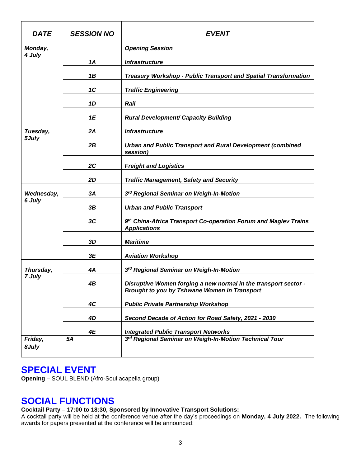| <b>DATE</b>          | <b>SESSION NO</b> | <b>EVENT</b>                                                                                                    |
|----------------------|-------------------|-----------------------------------------------------------------------------------------------------------------|
| Monday,              |                   | <b>Opening Session</b>                                                                                          |
| 4 July               | 1A                | <b>Infrastructure</b>                                                                                           |
|                      | 1B                | Treasury Workshop - Public Transport and Spatial Transformation                                                 |
|                      | 1C                | <b>Traffic Engineering</b>                                                                                      |
|                      | 1D                | Rail                                                                                                            |
|                      | 1E                | <b>Rural Development/ Capacity Building</b>                                                                     |
| Tuesday,             | 2A                | <b>Infrastructure</b>                                                                                           |
| 5July                | 2B                | <b>Urban and Public Transport and Rural Development (combined</b><br>session)                                   |
|                      | 2C                | <b>Freight and Logistics</b>                                                                                    |
|                      | 2D                | <b>Traffic Management, Safety and Security</b>                                                                  |
| Wednesday,<br>6 July | 3A                | 3rd Regional Seminar on Weigh-In-Motion                                                                         |
|                      | 3B                | <b>Urban and Public Transport</b>                                                                               |
|                      | 3C                | 9 <sup>th</sup> China-Africa Transport Co-operation Forum and Maglev Trains<br><b>Applications</b>              |
|                      | 3D                | <b>Maritime</b>                                                                                                 |
|                      | 3E                | <b>Aviation Workshop</b>                                                                                        |
| Thursday,            | 4Α                | 3rd Regional Seminar on Weigh-In-Motion                                                                         |
| 7 July               | 4B                | Disruptive Women forging a new normal in the transport sector -<br>Brought to you by Tshwane Women in Transport |
|                      | 4C                | <b>Public Private Partnership Workshop</b>                                                                      |
|                      | 4D                | Second Decade of Action for Road Safety, 2021 - 2030                                                            |
|                      | 4E                | <b>Integrated Public Transport Networks</b>                                                                     |
| Friday,<br>8July     | 5A                | 3rd Regional Seminar on Weigh-In-Motion Technical Tour                                                          |

#### **SPECIAL EVENT**

**Opening** – SOUL BLEND (Afro-Soul acapella group)

## **SOCIAL FUNCTIONS**

**Cocktail Party – 17:00 to 18:30, Sponsored by Innovative Transport Solutions:**

A cocktail party will be held at the conference venue after the day's proceedings on **Monday, 4 July 2022.** The following awards for papers presented at the conference will be announced: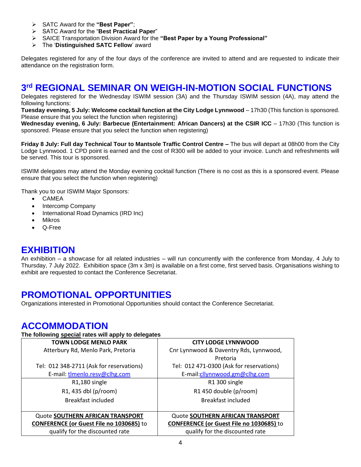- ➢ SATC Award for the **"Best Paper"**;
- ➢ SATC Award for the "**Best Practical Paper**"
- ➢ SAICE Transportation Division Award for the **"Best Paper by a Young Professional"**
- ➢ The '**Distinguished SATC Fellow**' award

Delegates registered for any of the four days of the conference are invited to attend and are requested to indicate their attendance on the registration form.

### **3 rd REGIONAL SEMINAR ON WEIGH-IN-MOTION SOCIAL FUNCTIONS**

Delegates registered for the Wednesday ISWIM session (3A) and the Thursday ISWIM session (4A), may attend the following functions:

**Tuesday evening, 5 July: Welcome cocktail function at the City Lodge Lynnwood** – 17h30 (This function is sponsored. Please ensure that you select the function when registering)

**Wednesday evening, 6 July: Barbecue (Entertainment: African Dancers) at the CSIR ICC** – 17h30 (This function is sponsored. Please ensure that you select the function when registering)

**Friday 8 July: Full day Technical Tour to Mantsole Traffic Control Centre –** The bus will depart at 08h00 from the City Lodge Lynnwood. 1 CPD point is earned and the cost of R300 will be added to your invoice. Lunch and refreshments will be served. This tour is sponsored.

ISWIM delegates may attend the Monday evening cocktail function (There is no cost as this is a sponsored event. Please ensure that you select the function when registering)

Thank you to our ISWIM Major Sponsors:

- CAMEA
- Intercomp Company
- International Road Dynamics (IRD Inc)
- **Mikros**
- Q-Free

### **EXHIBITION**

An exhibition – a showcase for all related industries – will run concurrently with the conference from Monday, 4 July to Thursday, 7 July 2022. Exhibition space (3m x 3m) is available on a first come, first served basis. Organisations wishing to exhibit are requested to contact the Conference Secretariat.

### **PROMOTIONAL OPPORTUNITIES**

Organizations interested in Promotional Opportunities should contact the Conference Secretariat.

### **ACCOMMODATION**

#### **The following special rates will apply to delegates**

| <b>TOWN LODGE MENLO PARK</b>                    | <b>CITY LODGE LYNNWOOD</b>               |
|-------------------------------------------------|------------------------------------------|
| Atterbury Rd, Menlo Park, Pretoria              | Cnr Lynnwood & Daventry Rds, Lynnwood,   |
|                                                 | Pretoria                                 |
| Tel: 012 348-2711 (Ask for reservations)        | Tel: 012 471-0300 (Ask for reservations) |
| E-mail: tlmenlo.resv@clhg.com                   | E-mail:cllynnwood.gm@clhg.com            |
| R1,180 single                                   | R1 300 single                            |
| R1, 435 dbl (p/room)                            | R1 450 double (p/room)                   |
| Breakfast included                              | <b>Breakfast included</b>                |
|                                                 |                                          |
| Quote SOUTHERN AFRICAN TRANSPORT                | Quote SOUTHERN AFRICAN TRANSPORT         |
| <b>CONFERENCE (or Guest File no 1030685)</b> to | CONFERENCE (or Guest File no 1030685) to |
| qualify for the discounted rate                 | qualify for the discounted rate          |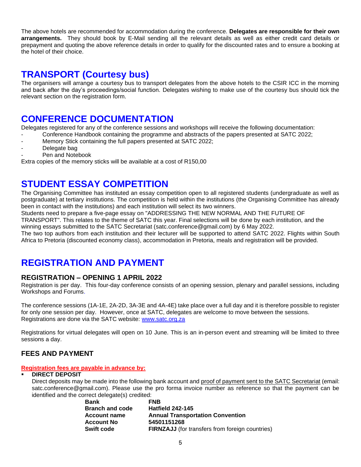The above hotels are recommended for accommodation during the conference. **Delegates are responsible for their own arrangements.** They should book by E-Mail sending all the relevant details as well as either credit card details or prepayment and quoting the above reference details in order to qualify for the discounted rates and to ensure a booking at the hotel of their choice.

### **TRANSPORT (Courtesy bus)**

The organisers will arrange a courtesy bus to transport delegates from the above hotels to the CSIR ICC in the morning and back after the day's proceedings/social function. Delegates wishing to make use of the courtesy bus should tick the relevant section on the registration form.

## **CONFERENCE DOCUMENTATION**

Delegates registered for any of the conference sessions and workshops will receive the following documentation:

- Conference Handbook containing the programme and abstracts of the papers presented at SATC 2022;
- Memory Stick containing the full papers presented at SATC 2022;
- Delegate bag
- Pen and Notebook

Extra copies of the memory sticks will be available at a cost of R150,00

## **STUDENT ESSAY COMPETITION**

The Organising Committee has instituted an essay competition open to all registered students (undergraduate as well as postgraduate) at tertiary institutions. The competition is held within the institutions (the Organising Committee has already been in contact with the institutions) and each institution will select its two winners.

Students need to prepare a five-page essay on "ADDRESSING THE NEW NORMAL AND THE FUTURE OF

TRANSPORT". This relates to the theme of SATC this year. Final selections will be done by each institution, and the winning essays submitted to the SATC Secretariat (satc.conference@gmail.com) by 6 May 2022.

The two top authors from each institution and their lecturer will be supported to attend SATC 2022. Flights within South Africa to Pretoria (discounted economy class), accommodation in Pretoria, meals and registration will be provided.

# **REGISTRATION AND PAYMENT**

#### **REGISTRATION – OPENING 1 APRIL 2022**

Registration is per day. This four-day conference consists of an opening session, plenary and parallel sessions, including Workshops and Forums.

The conference sessions (1A-1E, 2A-2D, 3A-3E and 4A-4E) take place over a full day and it is therefore possible to register for only one session per day.However, once at SATC, delegates are welcome to move between the sessions. Registrations are done via the SATC website: [www.satc.org.za](http://www.satc.org.za/)

Registrations for virtual delegates will open on 10 June. This is an in-person event and streaming will be limited to three sessions a day.

#### **FEES AND PAYMENT**

**Registration fees are payable in advance by:** 

#### **DIRECT DEPOSIT**

Direct deposits may be made into the following bank account and proof of payment sent to the SATC Secretariat (email: satc.conference@gmail.com). Please use the pro forma invoice number as reference so that the payment can be identified and the correct delegate(s) credited:

| <u>Refigured</u> and the correct delegate(c) credition. |                                                        |
|---------------------------------------------------------|--------------------------------------------------------|
| <b>Bank</b>                                             | <b>FNB</b>                                             |
| <b>Branch and code</b>                                  | <b>Hatfield 242-145</b>                                |
| <b>Account name</b>                                     | <b>Annual Transportation Convention</b>                |
| <b>Account No</b>                                       | 54501151268                                            |
| <b>Swift code</b>                                       | <b>FIRNZAJJ</b> (for transfers from foreign countries) |
|                                                         |                                                        |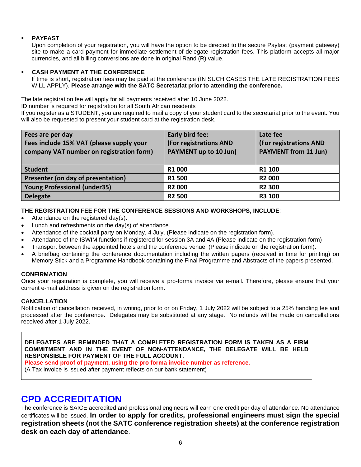#### **PAYFAST**

Upon completion of your registration, you will have the option to be directed to the secure Payfast (payment gateway) site to make a card payment for immediate settlement of delegate registration fees. This platform accepts all major currencies, and all billing conversions are done in original Rand (R) value.

#### ▪ **CASH PAYMENT AT THE CONFERENCE**

If time is short, registration fees may be paid at the conference (IN SUCH CASES THE LATE REGISTRATION FEES WILL APPLY). **Please arrange with the SATC Secretariat prior to attending the conference.**

The late registration fee will apply for all payments received after 10 June 2022.

ID number is required for registration for all South African residents

If you register as a STUDENT, you are required to mail a copy of your student card to the secretariat prior to the event. You will also be requested to present your student card at the registration desk.

| Fees are per day<br>Fees include 15% VAT (please supply your<br>company VAT number on registration form) | Early bird fee:<br>(For registrations AND<br>PAYMENT up to 10 Jun) | Late fee<br>(For registrations AND<br><b>PAYMENT from 11 Jun)</b> |
|----------------------------------------------------------------------------------------------------------|--------------------------------------------------------------------|-------------------------------------------------------------------|
| <b>Student</b>                                                                                           | R1 000                                                             | R1 100                                                            |
| Presenter (on day of presentation)                                                                       | <b>R1500</b>                                                       | <b>R2000</b>                                                      |
| <b>Young Professional (under35)</b>                                                                      | <b>R2000</b>                                                       | <b>R2 300</b>                                                     |
| <b>Delegate</b>                                                                                          | <b>R2 500</b>                                                      | <b>R3 100</b>                                                     |

#### **THE REGISTRATION FEE FOR THE CONFERENCE SESSIONS AND WORKSHOPS, INCLUDE**:

- Attendance on the registered day(s).
- Lunch and refreshments on the day(s) of attendance.
- Attendance of the cocktail party on Monday, 4 July. (Please indicate on the registration form).
- Attendance of the ISWIM functions if registered for session 3A and 4A (Please indicate on the registration form)
- Transport between the appointed hotels and the conference venue. (Please indicate on the registration form).
- A briefbag containing the conference documentation including the written papers (received in time for printing) on Memory Stick and a Programme Handbook containing the Final Programme and Abstracts of the papers presented.

#### **CONFIRMATION**

Once your registration is complete, you will receive a pro-forma invoice via e-mail. Therefore, please ensure that your current e-mail address is given on the registration form.

#### **CANCELLATION**

Notification of cancellation received, in writing, prior to or on Friday, 1 July 2022 will be subject to a 25% handling fee and processed after the conference. Delegates may be substituted at any stage. No refunds will be made on cancellations received after 1 July 2022.

**DELEGATES ARE REMINDED THAT A COMPLETED REGISTRATION FORM IS TAKEN AS A FIRM COMMITMENT AND IN THE EVENT OF NON-ATTENDANCE, THE DELEGATE WILL BE HELD RESPONSIBLE FOR PAYMENT OF THE FULL ACCOUNT.**

**Please send proof of payment, using the pro forma invoice number as reference.**

(A Tax invoice is issued after payment reflects on our bank statement)

#### **CPD ACCREDITATION**

The conference is SAICE accredited and professional engineers will earn one credit per day of attendance. No attendance certificates will be issued. **In order to apply for credits, professional engineers must sign the special registration sheets (not the SATC conference registration sheets) at the conference registration desk on each day of attendance**.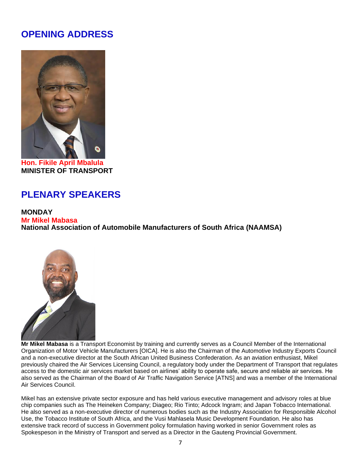## **OPENING ADDRESS**



**Hon. Fikile April Mbalula MINISTER OF TRANSPORT**

# **PLENARY SPEAKERS**

#### **MONDAY**

**Mr Mikel Mabasa National Association of Automobile Manufacturers of South Africa (NAAMSA)**



**Mr Mikel Mabasa** is a Transport Economist by training and currently serves as a Council Member of the International Organization of Motor Vehicle Manufacturers [OICA]. He is also the Chairman of the Automotive Industry Exports Council and a non-executive director at the South African United Business Confederation. As an aviation enthusiast, Mikel previously chaired the Air Services Licensing Council, a regulatory body under the Department of Transport that regulates access to the domestic air services market based on airlines' ability to operate safe, secure and reliable air services. He also served as the Chairman of the Board of Air Traffic Navigation Service [ATNS] and was a member of the International Air Services Council.

Mikel has an extensive private sector exposure and has held various executive management and advisory roles at blue chip companies such as The Heineken Company; Diageo; Rio Tinto; Adcock Ingram; and Japan Tobacco International. He also served as a non-executive director of numerous bodies such as the Industry Association for Responsible Alcohol Use, the Tobacco Institute of South Africa, and the Vusi Mahlasela Music Development Foundation. He also has extensive track record of success in Government policy formulation having worked in senior Government roles as Spokespeson in the Ministry of Transport and served as a Director in the Gauteng Provincial Government.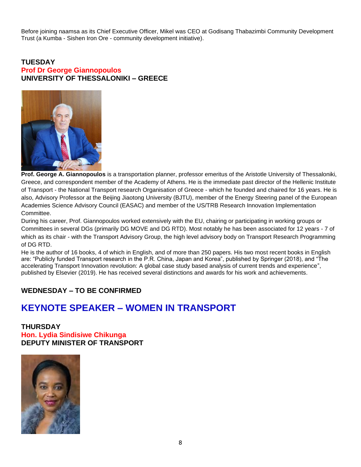Before joining naamsa as its Chief Executive Officer, Mikel was CEO at Godisang Thabazimbi Community Development Trust (a Kumba - Sishen Iron Ore - community development initiative).

#### **TUESDAY Prof Dr George Giannopoulos UNIVERSITY OF THESSALONIKI – GREECE**



**Prof. George A. Giannopoulos** is a transportation planner, professor emeritus of the Aristotle University of Thessaloniki, Greece, and correspondent member of the Academy of Athens. He is the immediate past director of the Hellenic Institute of Transport - the National Transport research Organisation of Greece - which he founded and chaired for 16 years. He is also, Advisory Professor at the Beijing Jiaotong University (BJTU), member of the Energy Steering panel of the European Academies Science Advisory Council (EASAC) and member of the US/TRB Research Innovation Implementation Committee.

During his career, Prof. Giannopoulos worked extensively with the EU, chairing or participating in working groups or Committees in several DGs (primarily DG MOVE and DG RTD). Most notably he has been associated for 12 years - 7 of which as its chair - with the Transport Advisory Group, the high level advisory body on Transport Research Programming of DG RTD.

He is the author of 16 books, 4 of which in English, and of more than 250 papers. His two most recent books in English are: "Publicly funded Transport research in the P.R. China, Japan and Korea", published by Springer (2018), and "The accelerating Transport Innovation revolution: A global case study based analysis of current trends and experience", published by Elsevier (2019). He has received several distinctions and awards for his work and achievements.

#### **WEDNESDAY – TO BE CONFIRMED**

#### **KEYNOTE SPEAKER – WOMEN IN TRANSPORT**

#### **THURSDAY**

**Hon. Lydia Sindisiwe Chikunga DEPUTY MINISTER OF TRANSPORT**

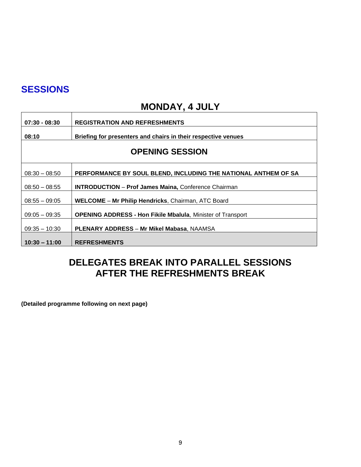## **SESSIONS**

 $\mathsf{r}$ 

 $\mathbf{r}$ 

# **MONDAY, 4 JULY**

| $07:30 - 08:30$        | <b>REGISTRATION AND REFRESHMENTS</b>                               |  |
|------------------------|--------------------------------------------------------------------|--|
| 08:10                  | Briefing for presenters and chairs in their respective venues      |  |
| <b>OPENING SESSION</b> |                                                                    |  |
| $08:30 - 08:50$        | PERFORMANCE BY SOUL BLEND, INCLUDING THE NATIONAL ANTHEM OF SA     |  |
| $08:50 - 08:55$        | <b>INTRODUCTION - Prof James Maina, Conference Chairman</b>        |  |
| $08:55 - 09:05$        | <b>WELCOME – Mr Philip Hendricks, Chairman, ATC Board</b>          |  |
| $09:05 - 09:35$        | <b>OPENING ADDRESS - Hon Fikile Mbalula, Minister of Transport</b> |  |
| $09:35 - 10:30$        | <b>PLENARY ADDRESS - Mr Mikel Mabasa, NAAMSA</b>                   |  |
| $10:30 - 11:00$        | <b>REFRESHMENTS</b>                                                |  |

## **DELEGATES BREAK INTO PARALLEL SESSIONS AFTER THE REFRESHMENTS BREAK**

**(Detailed programme following on next page)**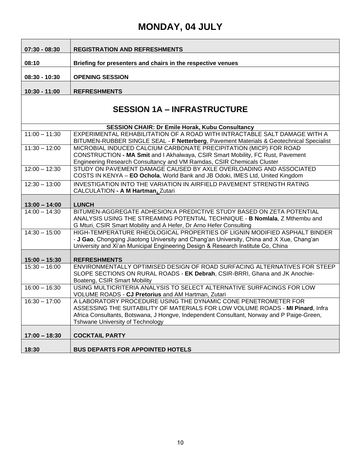# **SESSION 1A – INFRASTRUCTURE**

|                 | <b>SESSION CHAIR: Dr Emile Horak, Kubu Consultancy</b>                                                |
|-----------------|-------------------------------------------------------------------------------------------------------|
| $11:00 - 11:30$ | EXPERIMENTAL REHABILITATION OF A ROAD WITH INTRACTABLE SALT DAMAGE WITH A                             |
|                 | BITUMEN-RUBBER SINGLE SEAL - F Netterberg, Pavement Materials & Geotechnical Specialist               |
| $11:30 - 12:00$ | MICROBIAL INDUCED CALCIUM CARBONATE PRECIPITATION (MICP) FOR ROAD                                     |
|                 | CONSTRUCTION - MA Smit and I Akhalwaya, CSIR Smart Mobility, FC Rust, Pavement                        |
|                 | Engineering Research Consultancy and VM Ramdas, CSIR Chemicals Cluster                                |
| $12:00 - 12:30$ | STUDY ON PAVEMENT DAMAGE CAUSED BY AXLE OVERLOADING AND ASSOCIATED                                    |
|                 | COSTS IN KENYA - EO Ochola, World Bank and JB Odoki, IMES Ltd, United Kingdom                         |
| $12:30 - 13:00$ | INVESTIGATION INTO THE VARIATION IN AIRFIELD PAVEMENT STRENGTH RATING                                 |
|                 | CALCULATION - A M Hartman, Zutari                                                                     |
|                 |                                                                                                       |
| $13:00 - 14:00$ | <b>LUNCH</b>                                                                                          |
| $14:00 - 14:30$ | BITUMEN-AGGREGATE ADHESION: A PREDICTIVE STUDY BASED ON ZETA POTENTIAL                                |
|                 | ANALYSIS USING THE STREAMING POTENTIAL TECHNIQUE - B Nomiala, Z Mthembu and                           |
|                 | G Mturi, CSIR Smart Mobility and A Hefer, Dr Arno Hefer Consulting                                    |
| $14:30 - 15:00$ | HIGH-TEMPERATURE RHEOLOGICAL PROPERTIES OF LIGNIN MODIFIED ASPHALT BINDER                             |
|                 | - J Gao, Chongqing Jiaotong University and Chang'an University, China and X Xue, Chang'an             |
|                 | University and Xi'an Municipal Engineering Design & Research Institute Co, China                      |
|                 |                                                                                                       |
| $15:00 - 15:30$ | <b>REFRESHMENTS</b>                                                                                   |
| $15:30 - 16:00$ | ENVIRONMENTALLY OPTIMISED DESIGN OF ROAD SURFACING ALTERNATIVES FOR STEEP                             |
|                 | SLOPE SECTIONS ON RURAL ROADS - EK Debrah, CSIR-BRRI, Ghana and JK Anochie-                           |
| $16:00 - 16:30$ | Boateng, CSIR Smart Mobility<br>USING MULTICRITERIA ANALYSIS TO SELECT ALTERNATIVE SURFACINGS FOR LOW |
|                 | VOLUME ROADS - CJ Pretorius and AM Hartman, Zutari                                                    |
| $16:30 - 17:00$ | A LABORATORY PROCEDURE USING THE DYNAMIC CONE PENETROMETER FOR                                        |
|                 | ASSESSING THE SUITABILITY OF MATERIALS FOR LOW VOLUME ROADS - MI Pinard, Infra                        |
|                 | Africa Consultants, Botswana, J Hongve, Independent Consultant, Norway and P Paige-Green,             |
|                 | Tshwane University of Technology                                                                      |
|                 |                                                                                                       |
| $17:00 - 18:30$ | <b>COCKTAIL PARTY</b>                                                                                 |
|                 |                                                                                                       |
| 18:30           | <b>BUS DEPARTS FOR APPOINTED HOTELS</b>                                                               |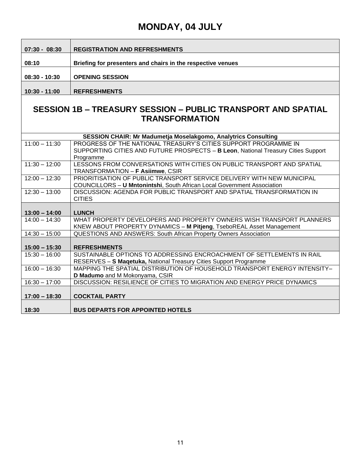| $07:30 - 08:30$ | <b>REGISTRATION AND REFRESHMENTS</b>                        |
|-----------------|-------------------------------------------------------------|
|                 |                                                             |
| 08:10           | Briefing for presenters and chairs in the respective venues |
|                 |                                                             |
| 08:30 - 10:30   | <b>OPENING SESSION</b>                                      |
|                 |                                                             |
| 10:30 - 11:00   | <b>REFRESHMENTS</b>                                         |

#### **SESSION 1B – TREASURY SESSION – PUBLIC TRANSPORT AND SPATIAL TRANSFORMATION**

|                 | <b>SESSION CHAIR: Mr Madumetja Moselakgomo, Analytrics Consulting</b>             |
|-----------------|-----------------------------------------------------------------------------------|
| $11:00 - 11:30$ | PROGRESS OF THE NATIONAL TREASURY'S CITIES SUPPORT PROGRAMME IN                   |
|                 | SUPPORTING CITIES AND FUTURE PROSPECTS - B Leon, National Treasury Cities Support |
|                 | Programme                                                                         |
| $11:30 - 12:00$ | LESSONS FROM CONVERSATIONS WITH CITIES ON PUBLIC TRANSPORT AND SPATIAL            |
|                 | TRANSFORMATION - F Asiimwe, CSIR                                                  |
| $12:00 - 12:30$ | PRIORITISATION OF PUBLIC TRANSPORT SERVICE DELIVERY WITH NEW MUNICIPAL            |
|                 | <b>COUNCILLORS - U Mntonintshi, South African Local Government Association</b>    |
| $12:30 - 13:00$ | DISCUSSION: AGENDA FOR PUBLIC TRANSPORT AND SPATIAL TRANSFORMATION IN             |
|                 | <b>CITIES</b>                                                                     |
|                 |                                                                                   |
| $13:00 - 14:00$ | <b>LUNCH</b>                                                                      |
| $14:00 - 14:30$ | WHAT PROPERTY DEVELOPERS AND PROPERTY OWNERS WISH TRANSPORT PLANNERS              |
|                 | KNEW ABOUT PROPERTY DYNAMICS - M Pitjeng, TseboREAL Asset Management              |
| $14:30 - 15:00$ | QUESTIONS AND ANSWERS: South African Property Owners Association                  |
|                 |                                                                                   |
| $15:00 - 15:30$ | <b>REFRESHMENTS</b>                                                               |
| $15:30 - 16:00$ | SUSTAINABLE OPTIONS TO ADDRESSING ENCROACHMENT OF SETTLEMENTS IN RAIL             |
|                 | RESERVES - S Magetuka, National Treasury Cities Support Programme                 |
| $16:00 - 16:30$ | MAPPING THE SPATIAL DISTRIBUTION OF HOUSEHOLD TRANSPORT ENERGY INTENSITY-         |
|                 | D Madumo and M Mokonyama, CSIR                                                    |
| $16:30 - 17:00$ | DISCUSSION: RESILIENCE OF CITIES TO MIGRATION AND ENERGY PRICE DYNAMICS           |
|                 |                                                                                   |
| $17:00 - 18:30$ | <b>COCKTAIL PARTY</b>                                                             |
|                 |                                                                                   |
| 18:30           | <b>BUS DEPARTS FOR APPOINTED HOTELS</b>                                           |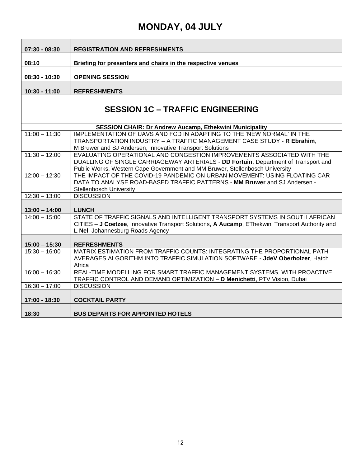| $07:30 - 08:30$                         | <b>REGISTRATION AND REFRESHMENTS</b>                                                                                                                                                                                                         |  |
|-----------------------------------------|----------------------------------------------------------------------------------------------------------------------------------------------------------------------------------------------------------------------------------------------|--|
| 08:10                                   | Briefing for presenters and chairs in the respective venues                                                                                                                                                                                  |  |
| $08:30 - 10:30$                         | <b>OPENING SESSION</b>                                                                                                                                                                                                                       |  |
| 10:30 - 11:00                           | <b>REFRESHMENTS</b>                                                                                                                                                                                                                          |  |
| <b>SESSION 1C - TRAFFIC ENGINEERING</b> |                                                                                                                                                                                                                                              |  |
|                                         | <b>SESSION CHAIR: Dr Andrew Aucamp, Ethekwini Municipality</b>                                                                                                                                                                               |  |
| $11:00 - 11:30$                         | IMPLEMENTATION OF UAVS AND FCD IN ADAPTING TO THE 'NEW NORMAL' IN THE<br>TRANSPORTATION INDUSTRY - A TRAFFIC MANAGEMENT CASE STUDY - R Ebrahim,<br>M Bruwer and SJ Andersen, Innovative Transport Solutions                                  |  |
| $11:30 - 12:00$                         | EVALUATING OPERATIONAL AND CONGESTION IMPROVEMENTS ASSOCIATED WITH THE<br>DUALLING OF SINGLE CARRIAGEWAY ARTERIALS - DD Fortuin, Department of Transport and<br>Public Works, Western Cape Government and MM Bruwer, Stellenbosch University |  |
| $12:00 - 12:30$                         | THE IMPACT OF THE COVID-19 PANDEMIC ON URBAN MOVEMENT: USING FLOATING CAR<br>DATA TO ANALYSE ROAD-BASED TRAFFIC PATTERNS - MM Bruwer and SJ Andersen -<br><b>Stellenbosch University</b>                                                     |  |
| $12:30 - 13:00$                         | <b>DISCUSSION</b>                                                                                                                                                                                                                            |  |
| $13:00 - 14:00$                         | <b>LUNCH</b>                                                                                                                                                                                                                                 |  |
| $14:00 - 15:00$                         | STATE OF TRAFFIC SIGNALS AND INTELLIGENT TRANSPORT SYSTEMS IN SOUTH AFRICAN<br>CITIES - J Coetzee, Innovative Transport Solutions, A Aucamp, EThekwini Transport Authority and<br>L Nel, Johannesburg Roads Agency                           |  |
| $15:00 - 15:30$                         | <b>REFRESHMENTS</b>                                                                                                                                                                                                                          |  |
| $15:30 - 16:00$                         | MATRIX ESTIMATION FROM TRAFFIC COUNTS: INTEGRATING THE PROPORTIONAL PATH<br>AVERAGES ALGORITHM INTO TRAFFIC SIMULATION SOFTWARE - JdeV Oberholzer, Hatch<br>Africa                                                                           |  |
| $16:00 - 16:30$                         | REAL-TIME MODELLING FOR SMART TRAFFIC MANAGEMENT SYSTEMS, WITH PROACTIVE<br>TRAFFIC CONTROL AND DEMAND OPTIMIZATION - D Menichetti, PTV Vision, Dubai                                                                                        |  |
| $16:30 - 17:00$                         | <b>DISCUSSION</b>                                                                                                                                                                                                                            |  |
| 17:00 - 18:30                           | <b>COCKTAIL PARTY</b>                                                                                                                                                                                                                        |  |
| 18:30                                   | <b>BUS DEPARTS FOR APPOINTED HOTELS</b>                                                                                                                                                                                                      |  |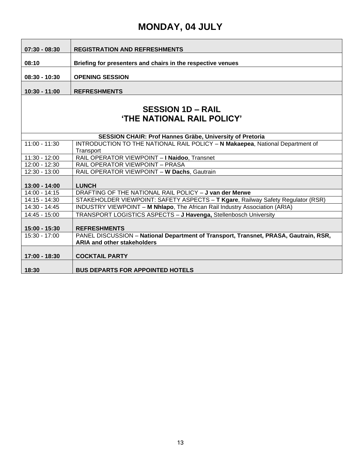| $07:30 - 08:30$                                               | <b>REGISTRATION AND REFRESHMENTS</b>                                                                                       |  |
|---------------------------------------------------------------|----------------------------------------------------------------------------------------------------------------------------|--|
| 08:10                                                         | Briefing for presenters and chairs in the respective venues                                                                |  |
|                                                               |                                                                                                                            |  |
| $08:30 - 10:30$                                               | <b>OPENING SESSION</b>                                                                                                     |  |
| $10:30 - 11:00$                                               | <b>REFRESHMENTS</b>                                                                                                        |  |
|                                                               |                                                                                                                            |  |
| <b>SESSION 1D - RAIL</b><br><b>'THE NATIONAL RAIL POLICY'</b> |                                                                                                                            |  |
|                                                               | SESSION CHAIR: Prof Hannes Gräbe, University of Pretoria                                                                   |  |
| $11:00 - 11:30$                                               | <b>INTRODUCTION TO THE NATIONAL RAIL POLICY - N Makaepea, National Department of</b><br>Transport                          |  |
| $11:30 - 12:00$                                               | RAIL OPERATOR VIEWPOINT - I Naidoo, Transnet                                                                               |  |
| $12:00 - 12:30$                                               | <b>RAIL OPERATOR VIEWPOINT - PRASA</b>                                                                                     |  |
| 12:30 - 13:00                                                 | RAIL OPERATOR VIEWPOINT - W Dachs, Gautrain                                                                                |  |
|                                                               |                                                                                                                            |  |
| $13:00 - 14:00$                                               | <b>LUNCH</b>                                                                                                               |  |
| $14:00 - 14:15$                                               | DRAFTING OF THE NATIONAL RAIL POLICY - J van der Merwe                                                                     |  |
| $14:15 - 14:30$                                               | STAKEHOLDER VIEWPOINT: SAFETY ASPECTS - T Kgare, Railway Safety Regulator (RSR)                                            |  |
| 14:30 - 14:45                                                 | INDUSTRY VIEWPOINT - M Nhlapo, The African Rail Industry Association (ARIA)                                                |  |
| 14:45 - 15:00                                                 | TRANSPORT LOGISTICS ASPECTS - J Havenga, Stellenbosch University                                                           |  |
| 15:00 - 15:30                                                 | <b>REFRESHMENTS</b>                                                                                                        |  |
| 15:30 - 17:00                                                 | PANEL DISCUSSION - National Department of Transport, Transnet, PRASA, Gautrain, RSR,<br><b>ARIA and other stakeholders</b> |  |
| $17:00 - 18:30$                                               | <b>COCKTAIL PARTY</b>                                                                                                      |  |
| 18:30                                                         | <b>BUS DEPARTS FOR APPOINTED HOTELS</b>                                                                                    |  |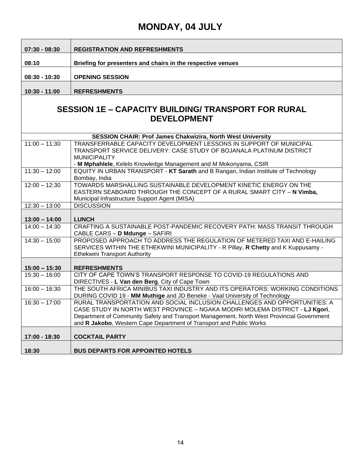| $07:30 - 08:30$                                                                  | <b>REGISTRATION AND REFRESHMENTS</b>                                                                                                                                                                                                                                                                                          |  |
|----------------------------------------------------------------------------------|-------------------------------------------------------------------------------------------------------------------------------------------------------------------------------------------------------------------------------------------------------------------------------------------------------------------------------|--|
| 08:10                                                                            | Briefing for presenters and chairs in the respective venues                                                                                                                                                                                                                                                                   |  |
| $08:30 - 10:30$                                                                  | <b>OPENING SESSION</b>                                                                                                                                                                                                                                                                                                        |  |
| 10:30 - 11:00                                                                    | <b>REFRESHMENTS</b>                                                                                                                                                                                                                                                                                                           |  |
| <b>SESSION 1E - CAPACITY BUILDING/ TRANSPORT FOR RURAL</b><br><b>DEVELOPMENT</b> |                                                                                                                                                                                                                                                                                                                               |  |
| $11:00 - 11:30$                                                                  | <b>SESSION CHAIR: Prof James Chakwizira, North West University</b><br>TRANSFERRABLE CAPACITY DEVELOPMENT LESSONS IN SUPPORT OF MUNICIPAL<br>TRANSPORT SERVICE DELIVERY: CASE STUDY OF BOJANALA PLATINUM DISTRICT<br><b>MUNICIPALITY</b>                                                                                       |  |
| $11:30 - 12:00$                                                                  | - M Mphahlele, Kelelo Knowledge Management and M Mokonyama, CSIR<br>EQUITY IN URBAN TRANSPORT - KT Sarath and B Rangan, Indian Institute of Technology<br>Bombay, India                                                                                                                                                       |  |
| $12:00 - 12:30$                                                                  | TOWARDS MARSHALLING SUSTAINABLE DEVELOPMENT KINETIC ENERGY ON THE<br>EASTERN SEABOARD THROUGH THE CONCEPT OF A RURAL SMART CITY - N Vimba,<br>Municipal Infrastructure Support Agent (MISA)                                                                                                                                   |  |
| $12:30 - 13:00$                                                                  | <b>DISCUSSION</b>                                                                                                                                                                                                                                                                                                             |  |
| $13:00 - 14:00$                                                                  | <b>LUNCH</b>                                                                                                                                                                                                                                                                                                                  |  |
| $14:00 - 14:30$                                                                  | CRAFTING A SUSTAINABLE POST-PANDEMIC RECOVERY PATH: MASS TRANSIT THROUGH<br>CABLE CARS - D Mdunge - SAFIRI                                                                                                                                                                                                                    |  |
| $14:30 - 15:00$                                                                  | PROPOSED APPROACH TO ADDRESS THE REGULATION OF METERED TAXI AND E-HAILING<br>SERVICES WITHIN THE ETHEKWINI MUNICIPALITY - R Pillay, R Chetty and K Kuppusamy -<br><b>Ethekwini Transport Authority</b>                                                                                                                        |  |
| $15:00 - 15:30$                                                                  | <b>REFRESHMENTS</b>                                                                                                                                                                                                                                                                                                           |  |
| $15:30 - 16:00$                                                                  | CITY OF CAPE TOWN'S TRANSPORT RESPONSE TO COVID-19 REGULATIONS AND<br>DIRECTIVES - L Van den Berg, City of Cape Town                                                                                                                                                                                                          |  |
| $16:00 - 16:30$                                                                  | THE SOUTH AFRICA MINIBUS TAXI INDUSTRY AND ITS OPERATORS: WORKING CONDITIONS<br>DURING COVID 19 - MM Muthige and JD Beneke - Vaal University of Technology                                                                                                                                                                    |  |
| $16:30 - 17:00$                                                                  | RURAL TRANSPORTATION AND SOCIAL INCLUSION CHALLENGES AND OPPORTUNITIES: A<br>CASE STUDY IN NORTH WEST PROVINCE - NGAKA MODIRI MOLEMA DISTRICT - LJ Kgori,<br>Department of Community Safety and Transport Management, North West Provincial Government<br>and R Jakobo, Western Cape Department of Transport and Public Works |  |
| 17:00 - 18:30                                                                    | <b>COCKTAIL PARTY</b>                                                                                                                                                                                                                                                                                                         |  |
| 18:30                                                                            | <b>BUS DEPARTS FOR APPOINTED HOTELS</b>                                                                                                                                                                                                                                                                                       |  |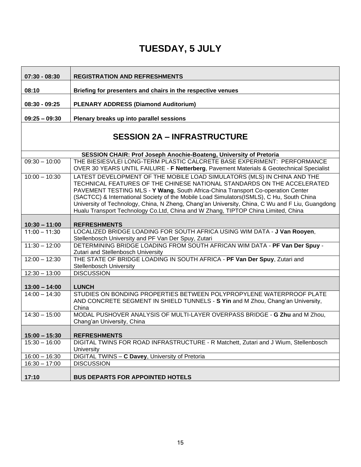| $07:30 - 08:30$                    | <b>REGISTRATION AND REFRESHMENTS</b>                                                                                                                                                                                                                                                                                                                                                                                                                                                                                      |
|------------------------------------|---------------------------------------------------------------------------------------------------------------------------------------------------------------------------------------------------------------------------------------------------------------------------------------------------------------------------------------------------------------------------------------------------------------------------------------------------------------------------------------------------------------------------|
| 08:10                              | Briefing for presenters and chairs in the respective venues                                                                                                                                                                                                                                                                                                                                                                                                                                                               |
| $08:30 - 09:25$                    | <b>PLENARY ADDRESS (Diamond Auditorium)</b>                                                                                                                                                                                                                                                                                                                                                                                                                                                                               |
| $09:25 - 09:30$                    | Plenary breaks up into parallel sessions                                                                                                                                                                                                                                                                                                                                                                                                                                                                                  |
| <b>SESSION 2A - INFRASTRUCTURE</b> |                                                                                                                                                                                                                                                                                                                                                                                                                                                                                                                           |
|                                    | SESSION CHAIR: Prof Joseph Anochie-Boateng, University of Pretoria                                                                                                                                                                                                                                                                                                                                                                                                                                                        |
| $09:30 - 10:00$                    | THE BIESIESVLEI LONG-TERM PLASTIC CALCRETE BASE EXPERIMENT: PERFORMANCE<br>OVER 30 YEARS UNTIL FAILURE - F Netterberg, Pavement Materials & Geotechnical Specialist                                                                                                                                                                                                                                                                                                                                                       |
| $10:00 - 10:30$                    | LATEST DEVELOPMENT OF THE MOBILE LOAD SIMULATORS (MLS) IN CHINA AND THE<br>TECHNICAL FEATURES OF THE CHINESE NATIONAL STANDARDS ON THE ACCELERATED<br>PAVEMENT TESTING MLS - Y Wang, South Africa-China Transport Co-operation Center<br>(SACTCC) & International Society of the Mobile Load Simulators(ISMLS), C Hu, South China<br>University of Technology, China, N Zheng, Chang'an University, China, C Wu and F Liu, Guangdong<br>Hualu Transport Technology Co.Ltd, China and W Zhang, TIPTOP China Limited, China |
| $10:30 - 11:00$                    | <b>REFRESHMENTS</b>                                                                                                                                                                                                                                                                                                                                                                                                                                                                                                       |
| $11:00 - 11:30$                    | LOCALIZED BRIDGE LOADING FOR SOUTH AFRICA USING WIM DATA - J Van Rooyen,<br>Stellenbosch University and PF Van Der Spuy, Zutari                                                                                                                                                                                                                                                                                                                                                                                           |
| $11:30 - 12:00$                    | DETERMINING BRIDGE LOADING FROM SOUTH AFRICAN WIM DATA - PF Van Der Spuy -<br>Zutari and Stellenbosch University                                                                                                                                                                                                                                                                                                                                                                                                          |
| $12:00 - 12:30$                    | THE STATE OF BRIDGE LOADING IN SOUTH AFRICA - PF Van Der Spuy, Zutari and<br><b>Stellenbosch University</b>                                                                                                                                                                                                                                                                                                                                                                                                               |
| $12:30 - 13:00$                    | <b>DISCUSSION</b>                                                                                                                                                                                                                                                                                                                                                                                                                                                                                                         |
|                                    |                                                                                                                                                                                                                                                                                                                                                                                                                                                                                                                           |
| $13:00 - 14:00$<br>$14:00 - 14:30$ | <b>LUNCH</b>                                                                                                                                                                                                                                                                                                                                                                                                                                                                                                              |
|                                    | STUDIES ON BONDING PROPERTIES BETWEEN POLYPROPYLENE WATERPROOF PLATE<br>AND CONCRETE SEGMENT IN SHIELD TUNNELS - S Yin and M Zhou, Chang'an University,<br>China                                                                                                                                                                                                                                                                                                                                                          |
| $14:30 - 15:00$                    | MODAL PUSHOVER ANALYSIS OF MULTI-LAYER OVERPASS BRIDGE - G Zhu and M Zhou,<br>Chang'an University, China                                                                                                                                                                                                                                                                                                                                                                                                                  |
| $15:00 - 15:30$                    | <b>REFRESHMENTS</b>                                                                                                                                                                                                                                                                                                                                                                                                                                                                                                       |
| $15:30 - 16:00$                    | DIGITAL TWINS FOR ROAD INFRASTRUCTURE - R Matchett, Zutari and J Wium, Stellenbosch<br>University                                                                                                                                                                                                                                                                                                                                                                                                                         |
| $16:00 - 16:30$                    | DIGITAL TWINS - C Davey, University of Pretoria                                                                                                                                                                                                                                                                                                                                                                                                                                                                           |
| $16:30 - 17:00$                    | <b>DISCUSSION</b>                                                                                                                                                                                                                                                                                                                                                                                                                                                                                                         |
| 17:10                              | <b>BUS DEPARTS FOR APPOINTED HOTELS</b>                                                                                                                                                                                                                                                                                                                                                                                                                                                                                   |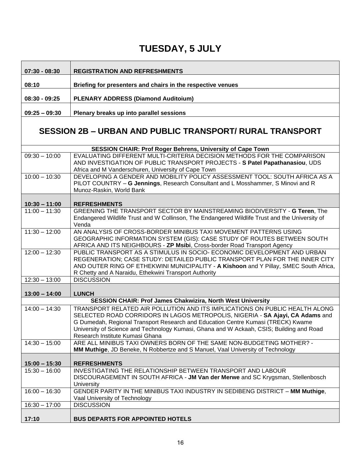| $07:30 - 08:30$                    | <b>REGISTRATION AND REFRESHMENTS</b>                                                                                                                                                                                                                                                                                                                                            |
|------------------------------------|---------------------------------------------------------------------------------------------------------------------------------------------------------------------------------------------------------------------------------------------------------------------------------------------------------------------------------------------------------------------------------|
| 08:10                              | Briefing for presenters and chairs in the respective venues                                                                                                                                                                                                                                                                                                                     |
| $08:30 - 09:25$                    | <b>PLENARY ADDRESS (Diamond Auditoium)</b>                                                                                                                                                                                                                                                                                                                                      |
| $09:25 - 09:30$                    | Plenary breaks up into parallel sessions                                                                                                                                                                                                                                                                                                                                        |
|                                    |                                                                                                                                                                                                                                                                                                                                                                                 |
|                                    | <b>SESSION 2B - URBAN AND PUBLIC TRANSPORT/ RURAL TRANSPORT</b>                                                                                                                                                                                                                                                                                                                 |
|                                    | <b>SESSION CHAIR: Prof Roger Behrens, University of Cape Town</b>                                                                                                                                                                                                                                                                                                               |
| $09:30 - 10:00$                    | EVALUATING DIFFERENT MULTI-CRITERIA DECISION METHODS FOR THE COMPARISON<br>AND INVESTIGATION OF PUBLIC TRANSPORT PROJECTS - S Patel Papathanasiou, UDS<br>Africa and M Vanderschuren, University of Cape Town                                                                                                                                                                   |
| $10:00 - 10:30$                    | DEVELOPING A GENDER AND MOBILITY POLICY ASSESSMENT TOOL: SOUTH AFRICA AS A<br>PILOT COUNTRY - G Jennings, Research Consultant and L Mosshammer, S Minovi and R<br>Munoz-Raskin, World Bank                                                                                                                                                                                      |
|                                    |                                                                                                                                                                                                                                                                                                                                                                                 |
| $10:30 - 11:00$<br>$11:00 - 11:30$ | <b>REFRESHMENTS</b><br>GREENING THE TRANSPORT SECTOR BY MAINSTREAMING BIODIVERSITY - G Teren, The                                                                                                                                                                                                                                                                               |
|                                    | Endangered Wildlife Trust and W Collinson, The Endangered Wildlife Trust and the University of<br>Venda                                                                                                                                                                                                                                                                         |
| $11:30 - 12:00$                    | AN ANALYSIS OF CROSS-BORDER MINIBUS TAXI MOVEMENT PATTERNS USING<br>GEOGRAPHIC INFORMATION SYSTEM (GIS): CASE STUDY OF ROUTES BETWEEN SOUTH<br>AFRICA AND ITS NEIGHBOURS - ZP Msibi, Cross-border Road Transport Agency                                                                                                                                                         |
| $12:00 - 12:30$                    | PUBLIC TRANSPORT AS A STIMULUS IN SOCIO- ECONOMIC DEVELOPMENT AND URBAN<br>REGENERATION; CASE STUDY: DETAILED PUBLIC TRANSPORT PLAN FOR THE INNER CITY<br>AND OUTER RING OF ETHEKWINI MUNICIPALITY - A Kishoon and Y Pillay, SMEC South Africa,<br>R Chetty and A Naraidu, Ethekwini Transport Authority                                                                        |
| $12:30 - 13:00$                    | <b>DISCUSSION</b>                                                                                                                                                                                                                                                                                                                                                               |
| $13:00 - 14:00$                    | <b>LUNCH</b>                                                                                                                                                                                                                                                                                                                                                                    |
|                                    | <b>SESSION CHAIR: Prof James Chakwizira, North West University</b>                                                                                                                                                                                                                                                                                                              |
| $14:00 - 14:30$                    | TRANSPORT RELATED AIR POLLUTION AND ITS IMPLICATIONS ON PUBLIC HEALTH ALONG<br>SELECTED ROAD CORRIDORS IN LAGOS METROPOLIS, NIGERIA - SA Ajayi, CA Adams and<br>G Dumedah, Regional Transport Research and Education Centre Kumasi (TRECK) Kwame<br>University of Science and Technology Kumasi, Ghana and W Ackaah, CSIS; Building and Road<br>Research Institute Kumasi Ghana |
| $14:30 - 15:00$                    | ARE ALL MINIBUS TAXI OWNERS BORN OF THE SAME NON-BUDGETING MOTHER? -<br>MM Muthige, JD Beneke, N Robbertze and S Manuel, Vaal University of Technology                                                                                                                                                                                                                          |
| $15:00 - 15:30$                    | <b>REFRESHMENTS</b>                                                                                                                                                                                                                                                                                                                                                             |
| $15:30 - 16:00$                    | INVESTIGATING THE RELATIONSHIP BETWEEN TRANSPORT AND LABOUR<br>DISCOURAGEMENT IN SOUTH AFRICA - JM Van der Merwe and SC Krygsman, Stellenbosch<br>University                                                                                                                                                                                                                    |
| $16:00 - 16:30$                    | GENDER PARITY IN THE MINIBUS TAXI INDUSTRY IN SEDIBENG DISTRICT - MM Muthige,<br>Vaal University of Technology                                                                                                                                                                                                                                                                  |
| $16:30 - 17:00$                    | <b>DISCUSSION</b>                                                                                                                                                                                                                                                                                                                                                               |
| 17:10                              | <b>BUS DEPARTS FOR APPOINTED HOTELS</b>                                                                                                                                                                                                                                                                                                                                         |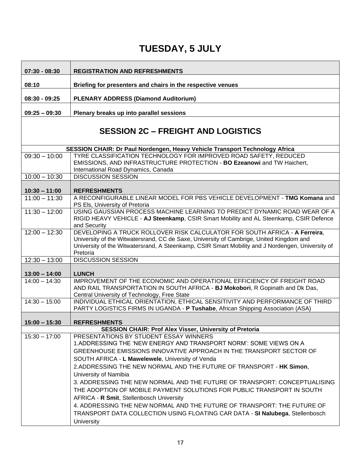| $07:30 - 08:30$ | <b>REGISTRATION AND REFRESHMENTS</b>                                                                                                                                                                                                                                                  |
|-----------------|---------------------------------------------------------------------------------------------------------------------------------------------------------------------------------------------------------------------------------------------------------------------------------------|
| 08:10           | Briefing for presenters and chairs in the respective venues                                                                                                                                                                                                                           |
| $08:30 - 09:25$ | <b>PLENARY ADDRESS (Diamond Auditorium)</b>                                                                                                                                                                                                                                           |
| $09:25 - 09:30$ | Plenary breaks up into parallel sessions                                                                                                                                                                                                                                              |
|                 | <b>SESSION 2C - FREIGHT AND LOGISTICS</b>                                                                                                                                                                                                                                             |
|                 | SESSION CHAIR: Dr Paul Nordengen, Heavy Vehicle Transport Technology Africa                                                                                                                                                                                                           |
| $09:30 - 10:00$ | TYRE CLASSIFICATION TECHNOLOGY FOR IMPROVED ROAD SAFETY, REDUCED<br>EMISSIONS, AND INFRASTRUCTURE PROTECTION - BO Ezeanowi and TW Haichert,<br>International Road Dynamics, Canada                                                                                                    |
| $10:00 - 10:30$ | <b>DISCUSSION SESSION</b>                                                                                                                                                                                                                                                             |
|                 |                                                                                                                                                                                                                                                                                       |
| $10:30 - 11:00$ | <b>REFRESHMENTS</b>                                                                                                                                                                                                                                                                   |
| $11:00 - 11:30$ | A RECONFIGURABLE LINEAR MODEL FOR PBS VEHICLE DEVELOPMENT - TMG Komana and<br>PS Els, University of Pretoria                                                                                                                                                                          |
| $11:30 - 12:00$ | USING GAUSSIAN PROCESS MACHINE LEARNING TO PREDICT DYNAMIC ROAD WEAR OF A<br>RIGID HEAVY VEHICLE - AJ Steenkamp, CSIR Smart Mobility and AL Steenkamp, CSIR Defence<br>and Security                                                                                                   |
| $12:00 - 12:30$ | DEVELOPING A TRUCK ROLLOVER RISK CALCULATOR FOR SOUTH AFRICA - A Ferreira,<br>University of the Witwatersrand, CC de Saxe, University of Cambrige, United Kingdom and<br>University of the Witwatersrand, A Steenkamp, CSIR Smart Mobility and J Nordengen, University of<br>Pretoria |
| $12:30 - 13:00$ | <b>DISCUSSION SESSION</b>                                                                                                                                                                                                                                                             |
| $13:00 - 14:00$ | <b>LUNCH</b>                                                                                                                                                                                                                                                                          |
| $14:00 - 14:30$ | IMPROVEMENT OF THE ECONOMIC AND OPERATIONAL EFFICIENCY OF FREIGHT ROAD<br>AND RAIL TRANSPORTATION IN SOUTH AFRICA - BJ Mokobori, R Gopinath and Dk Das,<br>Central University of Technology, Free State                                                                               |
| $14:30 - 15:00$ | INDIVIDUAL ETHICAL ORIENTATION, ETHICAL SENSITIVITY AND PERFORMANCE OF THIRD<br>PARTY LOGISTICS FIRMS IN UGANDA - P Tushabe, African Shipping Association (ASA)                                                                                                                       |
| $15:00 - 15:30$ | <b>REFRESHMENTS</b>                                                                                                                                                                                                                                                                   |
|                 | <b>SESSION CHAIR: Prof Alex Visser, University of Pretoria</b>                                                                                                                                                                                                                        |
| $15:30 - 17:00$ | PRESENTATIONS BY STUDENT ESSAY WINNERS<br>1.ADDRESSING THE 'NEW ENERGY AND TRANSPORT NORM': SOME VIEWS ON A<br>GREENHOUSE EMISSIONS INNOVATIVE APPROACH IN THE TRANSPORT SECTOR OF<br>SOUTH AFRICA - L Mawelewele, University of Venda                                                |
|                 | 2. ADDRESSING THE NEW NORMAL AND THE FUTURE OF TRANSPORT - HK Simon.<br>University of Namibia                                                                                                                                                                                         |
|                 | 3. ADDRESSING THE NEW NORMAL AND THE FUTURE OF TRANSPORT: CONCEPTUALISING<br>THE ADOPTION OF MOBILE PAYMENT SOLUTIONS FOR PUBLIC TRANSPORT IN SOUTH<br>AFRICA - R Smit, Stellenbosch University                                                                                       |
|                 | 4. ADDRESSING THE NEW NORMAL AND THE FUTURE OF TRANSPORT: THE FUTURE OF<br>TRANSPORT DATA COLLECTION USING FLOATING CAR DATA - SI Nalubega, Stellenbosch<br><b>University</b>                                                                                                         |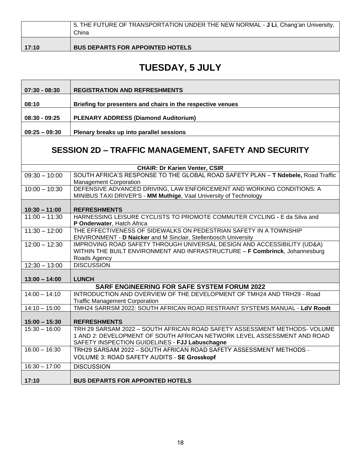|       | 5. THE FUTURE OF TRANSPORTATION UNDER THE NEW NORMAL - <b>J Li</b> , Chang'an University,<br>China |
|-------|----------------------------------------------------------------------------------------------------|
| 17:10 | <b>BUS DEPARTS FOR APPOINTED HOTELS</b>                                                            |

| $07:30 - 08:30$ | <b>REGISTRATION AND REFRESHMENTS</b>                                                                                                                                                                   |
|-----------------|--------------------------------------------------------------------------------------------------------------------------------------------------------------------------------------------------------|
| 08:10           | Briefing for presenters and chairs in the respective venues                                                                                                                                            |
| $08:30 - 09:25$ | <b>PLENARY ADDRESS (Diamond Auditorium)</b>                                                                                                                                                            |
| $09:25 - 09:30$ | Plenary breaks up into parallel sessions                                                                                                                                                               |
|                 |                                                                                                                                                                                                        |
|                 | <b>SESSION 2D – TRAFFIC MANAGEMENT, SAFETY AND SECURITY</b>                                                                                                                                            |
|                 | <b>CHAIR: Dr Karien Venter, CSIR</b>                                                                                                                                                                   |
| $09:30 - 10:00$ | SOUTH AFRICA'S RESPONSE TO THE GLOBAL ROAD SAFETY PLAN - T Ndebele, Road Traffic<br><b>Management Corporation</b>                                                                                      |
| $10:00 - 10:30$ | DEFENSIVE ADVANCED DRIVING, LAW ENFORCEMENT AND WORKING CONDITIONS: A<br>MINIBUS TAXI DRIVER'S - MM Muthige, Vaal University of Technology                                                             |
| $10:30 - 11:00$ | <b>REFRESHMENTS</b>                                                                                                                                                                                    |
| $11:00 - 11:30$ | HARNESSING LEISURE CYCLISTS TO PROMOTE COMMUTER CYCLING - E da Silva and<br>P Onderwater, Hatch Africa                                                                                                 |
| $11:30 - 12:00$ | THE EFFECTIVENESS OF SIDEWALKS ON PEDESTRIAN SAFETY IN A TOWNSHIP<br>ENVIRONMENT - D Naicker and M Sinclair, Stellenbosch University                                                                   |
| $12:00 - 12:30$ | IMPROVING ROAD SAFETY THROUGH UNIVERSAL DESIGN AND ACCESSIBILITY (UD&A)<br>WITHIN THE BUILT ENVIRONMENT AND INFRASTRUCTURE - F Combrinck, Johannesburg<br>Roads Agency                                 |
| $12:30 - 13:00$ | <b>DISCUSSION</b>                                                                                                                                                                                      |
| $13:00 - 14:00$ | <b>LUNCH</b>                                                                                                                                                                                           |
|                 | <b>SARF ENGINEERING FOR SAFE SYSTEM FORUM 2022</b>                                                                                                                                                     |
| $14:00 - 14:10$ | INTRODUCTION AND OVERVIEW OF THE DEVELOPMENT OF TMH24 AND TRH29 - Road<br><b>Traffic Management Corporation</b>                                                                                        |
| $14:10 - 15:00$ | TMH24 SARRSM 2022: SOUTH AFRICAN ROAD RESTRAINT SYSTEMS MANUAL - LdV Roodt                                                                                                                             |
| $15:00 - 15:30$ | <b>REFRESHMENTS</b>                                                                                                                                                                                    |
| $15:30 - 16:00$ | TRH 29 SARSAM 2022 - SOUTH AFRICAN ROAD SAFETY ASSESSMENT METHODS- VOLUME<br>1 AND 2: DEVELOPMENT OF SOUTH AFRICAN NETWORK LEVEL ASSESSMENT AND ROAD<br>SAFETY INSPECTION GUIDELINES - FJJ Labuschagne |
| $16:00 - 16:30$ | TRH29 SARSAM 2022 - SOUTH AFRICAN ROAD SAFETY ASSESSMENT METHODS -<br><b>VOLUME 3: ROAD SAFETY AUDITS - SE Grosskopf</b>                                                                               |
| $16:30 - 17:00$ | <b>DISCUSSION</b>                                                                                                                                                                                      |
| 17:10           | <b>BUS DEPARTS FOR APPOINTED HOTELS</b>                                                                                                                                                                |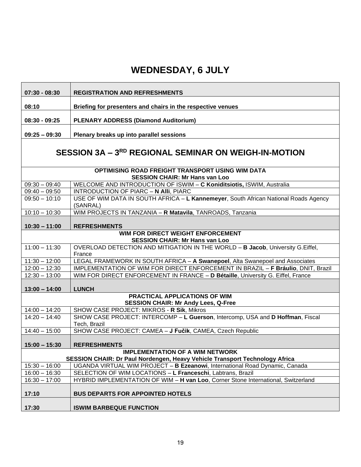| $07:30 - 08:30$                                                                           | <b>REGISTRATION AND REFRESHMENTS</b>                                                                                                       |
|-------------------------------------------------------------------------------------------|--------------------------------------------------------------------------------------------------------------------------------------------|
| 08:10                                                                                     | Briefing for presenters and chairs in the respective venues                                                                                |
| $08:30 - 09:25$                                                                           | <b>PLENARY ADDRESS (Diamond Auditorium)</b>                                                                                                |
|                                                                                           |                                                                                                                                            |
| $09:25 - 09:30$                                                                           | Plenary breaks up into parallel sessions                                                                                                   |
|                                                                                           | SESSION 3A - 3RD REGIONAL SEMINAR ON WEIGH-IN-MOTION                                                                                       |
| OPTIMISING ROAD FREIGHT TRANSPORT USING WIM DATA<br><b>SESSION CHAIR: Mr Hans van Loo</b> |                                                                                                                                            |
| $09:30 - 09:40$                                                                           | WELCOME AND INTRODUCTION OF ISWIM - C Koniditsiotis, ISWIM, Australia                                                                      |
| $09:40 - 09:50$                                                                           | INTRODUCTION OF PIARC - N Alli, PIARC                                                                                                      |
| $09:50 - 10:10$                                                                           | USE OF WIM DATA IN SOUTH AFRICA - L Kannemeyer, South African National Roads Agency<br>(SANRAL)                                            |
| $10:10 - 10:30$                                                                           | WIM PROJECTS IN TANZANIA - R Matavila, TANROADS, Tanzania                                                                                  |
| $10:30 - 11:00$                                                                           | <b>REFRESHMENTS</b>                                                                                                                        |
| WIM FOR DIRECT WEIGHT ENFORCEMENT                                                         |                                                                                                                                            |
|                                                                                           | <b>SESSION CHAIR: Mr Hans van Loo</b>                                                                                                      |
| $11:00 - 11:30$                                                                           | OVERLOAD DETECTION AND MITIGATION IN THE WORLD - B Jacob, University G. Eiffel,<br>France                                                  |
| $11:30 - 12:00$                                                                           | LEGAL FRAMEWORK IN SOUTH AFRICA - A Swanepoel, Alta Swanepoel and Associates                                                               |
| $12:00 - 12:30$                                                                           | IMPLEMENTATION OF WIM FOR DIRECT ENFORCEMENT IN BRAZIL - F Bráulio, DNIT, Brazil                                                           |
| $12:30 - 13:00$                                                                           | WIM FOR DIRECT ENFORCEMENT IN FRANCE - D Bétaille, University G. Eiffel, France                                                            |
| $13:00 - 14:00$                                                                           | <b>LUNCH</b>                                                                                                                               |
|                                                                                           | PRACTICAL APPLICATIONS OF WIM                                                                                                              |
|                                                                                           | <b>SESSION CHAIR: Mr Andy Lees, Q-Free</b>                                                                                                 |
| $14:00 - 14:20$                                                                           | SHOW CASE PROJECT: MIKROS - R Sik, Mikros                                                                                                  |
| $14:20 - 14:40$                                                                           | SHOW CASE PROJECT: INTERCOMP - L Guerson, Intercomp, USA and D Hoffman, Fiscal<br>Tech, Brazil                                             |
| $14:40 - 15:00$                                                                           | SHOW CASE PROJECT: CAMEA - J Fučik, CAMEA, Czech Republic                                                                                  |
| $15:00 - 15:30$                                                                           | <b>REFRESHMENTS</b>                                                                                                                        |
|                                                                                           | <b>IMPLEMENTATION OF A WIM NETWORK</b>                                                                                                     |
|                                                                                           | SESSION CHAIR: Dr Paul Nordengen, Heavy Vehicle Transport Technology Africa                                                                |
| $15:30 - 16:00$                                                                           | UGANDA VIRTUAL WIM PROJECT - B Ezeanowi, International Road Dynamic, Canada<br>SELECTION OF WIM LOCATIONS - L Franceschi, Labtrans, Brazil |
| $16:00 - 16:30$<br>$16:30 - 17:00$                                                        | HYBRID IMPLEMENTATION OF WIM - H van Loo, Corner Stone International, Switzerland                                                          |
|                                                                                           |                                                                                                                                            |
| 17:10                                                                                     | <b>BUS DEPARTS FOR APPOINTED HOTELS</b>                                                                                                    |
| 17:30                                                                                     | <b>ISWIM BARBEQUE FUNCTION</b>                                                                                                             |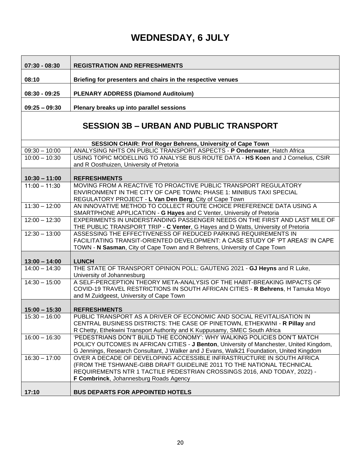| $07:30 - 08:30$                    | <b>REGISTRATION AND REFRESHMENTS</b>                                                                                                                                                                                         |  |
|------------------------------------|------------------------------------------------------------------------------------------------------------------------------------------------------------------------------------------------------------------------------|--|
| 08:10                              | Briefing for presenters and chairs in the respective venues                                                                                                                                                                  |  |
|                                    |                                                                                                                                                                                                                              |  |
| $08:30 - 09:25$                    | PLENARY ADDRESS (Diamond Auditoium)                                                                                                                                                                                          |  |
| $09:25 - 09:30$                    | Plenary breaks up into parallel sessions                                                                                                                                                                                     |  |
|                                    | <b>SESSION 3B - URBAN AND PUBLIC TRANSPORT</b>                                                                                                                                                                               |  |
|                                    | SESSION CHAIR: Prof Roger Behrens, University of Cape Town                                                                                                                                                                   |  |
| $09:30 - 10:00$                    | ANALYSING NHTS ON PUBLIC TRANSPORT ASPECTS - P Onderwater, Hatch Africa                                                                                                                                                      |  |
| $10:00 - 10:30$                    | USING TOPIC MODELLING TO ANALYSE BUS ROUTE DATA - HS Koen and J Cornelius, CSIR<br>and R Oosthuizen, University of Pretoria                                                                                                  |  |
|                                    | <b>REFRESHMENTS</b>                                                                                                                                                                                                          |  |
| $10:30 - 11:00$<br>$11:00 - 11:30$ | MOVING FROM A REACTIVE TO PROACTIVE PUBLIC TRANSPORT REGULATORY                                                                                                                                                              |  |
|                                    | ENVIRONMENT IN THE CITY OF CAPE TOWN; PHASE 1: MINIBUS TAXI SPECIAL                                                                                                                                                          |  |
|                                    | REGULATORY PROJECT - L Van Den Berg, City of Cape Town                                                                                                                                                                       |  |
| $11:30 - 12:00$                    | AN INNOVATIVE METHOD TO COLLECT ROUTE CHOICE PREFERENCE DATA USING A                                                                                                                                                         |  |
|                                    | SMARTPHONE APPLICATION - G Hayes and C Venter, University of Pretoria                                                                                                                                                        |  |
| $12:00 - 12:30$                    | EXPERIMENTS IN UNDERSTANDING PASSENGER NEEDS ON THE FIRST AND LAST MILE OF<br>THE PUBLIC TRANSPORT TRIP - C Venter, G Hayes and D Watts, University of Pretoria                                                              |  |
| $12:30 - 13:00$                    | ASSESSING THE EFFECTIVENESS OF REDUCED PARKING REQUIREMENTS IN<br>FACILITATING TRANSIT-ORIENTED DEVELOPMENT: A CASE STUDY OF 'PT AREAS' IN CAPE<br>TOWN - N Sasman, City of Cape Town and R Behrens, University of Cape Town |  |
|                                    |                                                                                                                                                                                                                              |  |
| $13:00 - 14:00$                    | <b>LUNCH</b>                                                                                                                                                                                                                 |  |
| $14:00 - 14:30$                    | THE STATE OF TRANSPORT OPINION POLL: GAUTENG 2021 - GJ Heyns and R Luke,<br>University of Johannesburg                                                                                                                       |  |
| $14:30 - 15:00$                    | A SELF-PERCEPTION THEORY META-ANALYSIS OF THE HABIT-BREAKING IMPACTS OF                                                                                                                                                      |  |
|                                    | COVID-19 TRAVEL RESTRICTIONS IN SOUTH AFRICAN CITIES - R Behrens, H Tamuka Moyo                                                                                                                                              |  |
|                                    | and M Zuidgeest, University of Cape Town                                                                                                                                                                                     |  |
|                                    |                                                                                                                                                                                                                              |  |
| $15:00 - 15:30$<br>$15:30 - 16:00$ | <b>REFRESHMENTS</b><br>PUBLIC TRANSPORT AS A DRIVER OF ECONOMIC AND SOCIAL REVITALISATION IN                                                                                                                                 |  |
|                                    | CENTRAL BUSINESS DISTRICTS: THE CASE OF PINETOWN, ETHEKWINI - R Pillay and                                                                                                                                                   |  |
|                                    | R Chetty, Ethekwini Transport Authority and K Kuppusamy, SMEC South Africa                                                                                                                                                   |  |
| $16:00 - 16:30$                    | 'PEDESTRIANS DON'T BUILD THE ECONOMY': WHY WALKING POLICIES DON'T MATCH                                                                                                                                                      |  |
|                                    | POLICY OUTCOMES IN AFRICAN CITIES - J Benton, University of Manchester, United Kingdom,                                                                                                                                      |  |
|                                    | G Jennings, Research Consultant, J Walker and J Evans, Walk21 Foundation, United Kingdom                                                                                                                                     |  |
| $16:30 - 17:00$                    | OVER A DECADE OF DEVELOPING ACCESSIBLE INFRASTRUCTURE IN SOUTH AFRICA                                                                                                                                                        |  |
|                                    | (FROM THE TSHWANE-GIBB DRAFT GUIDELINE 2011 TO THE NATIONAL TECHNICAL                                                                                                                                                        |  |
|                                    | REQUIREMENTS NTR 1 TACTILE PEDESTRIAN CROSSINGS 2016, AND TODAY, 2022) -                                                                                                                                                     |  |
|                                    | F Combrinck, Johannesburg Roads Agency                                                                                                                                                                                       |  |
| 17:10                              | <b>BUS DEPARTS FOR APPOINTED HOTELS</b>                                                                                                                                                                                      |  |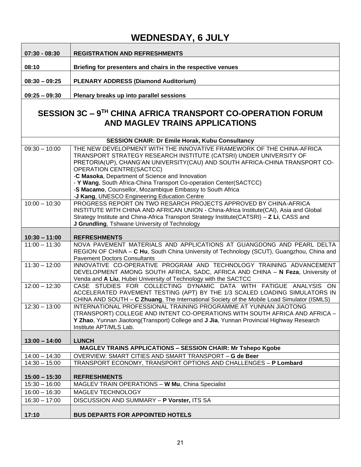| $07:30 - 08:30$ | <b>REGISTRATION AND REFRESHMENTS</b>                        |
|-----------------|-------------------------------------------------------------|
| 08:10           | Briefing for presenters and chairs in the respective venues |
| $08:30 - 09:25$ | <b>PLENARY ADDRESS (Diamond Auditorium)</b>                 |
| $09:25 - 09:30$ | Plenary breaks up into parallel sessions                    |

#### **SESSION 3C – 9 TH CHINA AFRICA TRANSPORT CO-OPERATION FORUM AND MAGLEV TRAINS APPLICATIONS**

| <b>SESSION CHAIR: Dr Emile Horak, Kubu Consultancy</b>             |                                                                                                                                                                                                                                                                                                                  |
|--------------------------------------------------------------------|------------------------------------------------------------------------------------------------------------------------------------------------------------------------------------------------------------------------------------------------------------------------------------------------------------------|
| $09:30 - 10:00$                                                    | THE NEW DEVELOPMENT WITH THE INNOVATIVE FRAMEWORK OF THE CHINA-AFRICA<br>TRANSPORT STRATEGY RESEARCH INSTITUTE (CATSRI) UNDER UNIVERSITY OF<br>PRETORIA(UP), CHANG'AN UNIVERSITY(CAU) AND SOUTH AFRICA-CHINA TRANSPORT CO-<br><b>OPERATION CENTRE(SACTCC)</b><br>-C Masoka, Department of Science and Innovation |
|                                                                    | - Y Wang, South Africa-China Transport Co-operation Center(SACTCC)                                                                                                                                                                                                                                               |
|                                                                    | -S Macamo, Counsellor, Mozambique Embassy to South Africa<br>-J Kang, UNESCO Engineering Education Centre                                                                                                                                                                                                        |
| $10:00 - 10:30$                                                    | PROGRESS REPORT ON TWO RESARCH PROJECTS APPROVED BY CHINA-AFRICA<br>INSTITUTE WITH CHINA AND AFRICAN UNION - China-Africa Institute(CAI), Asia and Global<br>Strategy Institute and China-Africa Transport Strategy Institute(CATSRI) - Z Li, CASS and<br>J Grundling, Tshwane University of Technology          |
| $10:30 - 11:00$                                                    | <b>REFRESHMENTS</b>                                                                                                                                                                                                                                                                                              |
| $11:00 - 11:30$                                                    | NOVA PAVEMENT MATERIALS AND APPLICATIONS AT GUANGDONG AND PEARL DELTA<br>REGION OF CHINA - C Hu, South China University of Technology (SCUT), Guangzhou, China and<br><b>Pavement Doctors Consultants</b>                                                                                                        |
| $11:30 - 12:00$                                                    | INNOVATIVE CO-OPERATIVE PROGRAM AND TECHNOLOGY TRAINING ADVANCEMENT<br>DEVELOPMENT AMONG SOUTH AFRICA, SADC, AFRICA AND CHINA - N Feza, University of<br>Venda and A Liu, Hubei University of Technology with the SACTCC                                                                                         |
| $12:00 - 12:30$                                                    | CASE STUDIES FOR COLLECTING DYNAMIC DATA WITH FATIGUE ANALYSIS ON<br>ACCELERATED PAVEMENT TESTING (APT) BY THE 1/3 SCALED LOADING SIMULATORS IN<br>CHINA AND SOUTH - C Zhuang, The International Society of the Mobile Load Simulator (ISMLS)                                                                    |
| $12:30 - 13:00$                                                    | INTERNATIONAL PROFESSIONAL TRAINING PROGRAMME AT YUNNAN JIAOTONG<br>(TRANSPORT) COLLEGE AND INTENT CO-OPERATIONS WITH SOUTH AFRICA AND AFRICA -<br>Y Zhao, Yunnan Jiaotong(Transport) College and J Jia, Yunnan Provincial Highway Research<br>Institute APT/MLS Lab.                                            |
| $13:00 - 14:00$                                                    | <b>LUNCH</b>                                                                                                                                                                                                                                                                                                     |
| <b>MAGLEV TRAINS APPLICATIONS - SESSION CHAIR: Mr Tshepo Kgobe</b> |                                                                                                                                                                                                                                                                                                                  |
| $14:00 - 14:30$                                                    | OVERVIEW: SMART CITIES AND SMART TRANSPORT - G de Beer                                                                                                                                                                                                                                                           |
| $14:30 - 15:00$                                                    | TRANSPORT ECONOMY, TRANSPORT OPTIONS AND CHALLENGES - P Lombard                                                                                                                                                                                                                                                  |
| $15:00 - 15:30$                                                    | <b>REFRESHMENTS</b>                                                                                                                                                                                                                                                                                              |
| $15:30 - 16:00$                                                    | MAGLEV TRAIN OPERATIONS - W Mu, China Specialist                                                                                                                                                                                                                                                                 |
| $16:00 - 16:30$                                                    | MAGLEV TECHNOLOGY                                                                                                                                                                                                                                                                                                |
| $16:30 - 17:00$                                                    | <b>DISCUSSION AND SUMMARY - P Vorster, ITS SA</b>                                                                                                                                                                                                                                                                |
| 17:10                                                              | <b>BUS DEPARTS FOR APPOINTED HOTELS</b>                                                                                                                                                                                                                                                                          |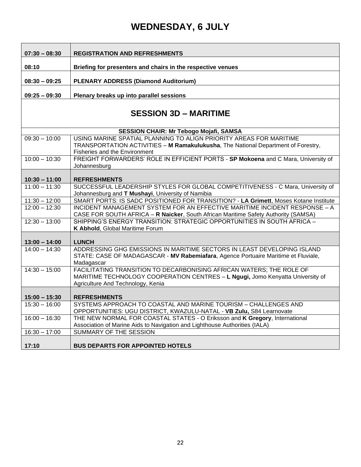| $07:30 - 08:30$              | <b>REGISTRATION AND REFRESHMENTS</b>                                                                                                                                                        |
|------------------------------|---------------------------------------------------------------------------------------------------------------------------------------------------------------------------------------------|
| 08:10                        | Briefing for presenters and chairs in the respective venues                                                                                                                                 |
|                              |                                                                                                                                                                                             |
| $08:30 - 09:25$              | <b>PLENARY ADDRESS (Diamond Auditorium)</b>                                                                                                                                                 |
| $09:25 - 09:30$              | Plenary breaks up into parallel sessions                                                                                                                                                    |
| <b>SESSION 3D - MARITIME</b> |                                                                                                                                                                                             |
|                              | <b>SESSION CHAIR: Mr Tebogo Mojafi, SAMSA</b>                                                                                                                                               |
| $09:30 - 10:00$              | USING MARINE SPATIAL PLANNING TO ALIGN PRIORITY AREAS FOR MARITIME<br>TRANSPORTATION ACTIVITIES - M Ramakulukusha, The National Department of Forestry,<br>Fisheries and the Environment    |
| $10:00 - 10:30$              | FREIGHT FORWARDERS' ROLE IN EFFICIENT PORTS - SP Mokoena and C Mara, University of<br>Johannesburg                                                                                          |
| $10:30 - 11:00$              | <b>REFRESHMENTS</b>                                                                                                                                                                         |
| $11:00 - 11:30$              | SUCCESSFUL LEADERSHIP STYLES FOR GLOBAL COMPETITIVENESS - C Mara, University of<br>Johannesburg and T Mushayi, University of Namibia                                                        |
| $11:30 - 12:00$              | SMART PORTS: IS SADC POSITIONED FOR TRANSITION? - LA Grimett, Moses Kotane Institute                                                                                                        |
| $12:00 - 12:30$              | INCIDENT MANAGEMENT SYSTEM FOR AN EFFECTIVE MARITIME INCIDENT RESPONSE - A<br>CASE FOR SOUTH AFRICA - R Naicker, South African Maritime Safety Authority (SAMSA)                            |
| $12:30 - 13:00$              | SHIPPING'S ENERGY TRANSITION: STRATEGIC OPPORTUNITIES IN SOUTH AFRICA -<br>K Abhold, Global Maritime Forum                                                                                  |
| $13:00 - 14:00$              | <b>LUNCH</b>                                                                                                                                                                                |
| $14:00 - 14:30$              | ADDRESSING GHG EMISSIONS IN MARITIME SECTORS IN LEAST DEVELOPING ISLAND<br>STATE: CASE OF MADAGASCAR - MV Rabemiafara, Agence Portuaire Maritime et Fluviale,<br>Madagascar                 |
| $14:30 - 15:00$              | FACILITATING TRANSITION TO DECARBONISING AFRICAN WATERS; THE ROLE OF<br>MARITIME TECHNOLOGY COOPERATION CENTRES - L Ngugi, Jomo Kenyatta University of<br>Agriculture And Technology, Kenia |
| $15:00 - 15:30$              | <b>REFRESHMENTS</b>                                                                                                                                                                         |
| $15:30 - 16:00$              | SYSTEMS APPROACH TO COASTAL AND MARINE TOURISM - CHALLENGES AND<br>OPPORTUNITIES: UGU DISTRICT, KWAZULU-NATAL - VB Zulu, S84 Learnovate                                                     |
| $16:00 - 16:30$              | THE NEW NORMAL FOR COASTAL STATES - O Eriksson and K Gregory, International<br>Association of Marine Aids to Navigation and Lighthouse Authorities (IALA)                                   |
| $16:30 - 17:00$              | SUMMARY OF THE SESSION                                                                                                                                                                      |
| 17:10                        | <b>BUS DEPARTS FOR APPOINTED HOTELS</b>                                                                                                                                                     |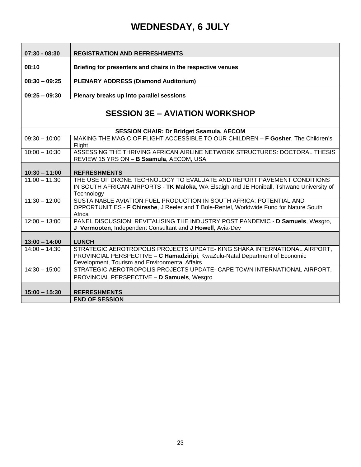| $07:30 - 08:30$ | <b>REGISTRATION AND REFRESHMENTS</b>                        |
|-----------------|-------------------------------------------------------------|
| 08:10           | Briefing for presenters and chairs in the respective venues |
| $08:30 - 09:25$ | <b>PLENARY ADDRESS (Diamond Auditorium)</b>                 |
| $09:25 - 09:30$ | Plenary breaks up into parallel sessions                    |

### **SESSION 3E – AVIATION WORKSHOP**

| <b>SESSION CHAIR: Dr Bridget Ssamula, AECOM</b> |                                                                                                                                                                                                             |
|-------------------------------------------------|-------------------------------------------------------------------------------------------------------------------------------------------------------------------------------------------------------------|
| $09:30 - 10:00$                                 | MAKING THE MAGIC OF FLIGHT ACCESSIBLE TO OUR CHILDREN - F Gosher, The Children's<br>Flight                                                                                                                  |
| $10:00 - 10:30$                                 | ASSESSING THE THRIVING AFRICAN AIRLINE NETWORK STRUCTURES: DOCTORAL THESIS<br>REVIEW 15 YRS ON - B Ssamula, AECOM, USA                                                                                      |
| $10:30 - 11:00$                                 | <b>REFRESHMENTS</b>                                                                                                                                                                                         |
| $11:00 - 11:30$                                 | THE USE OF DRONE TECHNOLOGY TO EVALUATE AND REPORT PAVEMENT CONDITIONS<br>IN SOUTH AFRICAN AIRPORTS - TK Maloka, WA Elsaigh and JE Honiball, Tshwane University of<br>Technology                            |
| $11:30 - 12:00$                                 | SUSTAINABLE AVIATION FUEL PRODUCTION IN SOUTH AFRICA: POTENTIAL AND<br>OPPORTUNITIES - F Chireshe, J Reeler and T Bole-Rentel, Worldwide Fund for Nature South<br>Africa                                    |
| $12:00 - 13:00$                                 | PANEL DISCUSSION: REVITALISING THE INDUSTRY POST PANDEMIC - D Samuels, Wesgro,<br>J Vermooten, Independent Consultant and J Howell, Avia-Dev                                                                |
| $13:00 - 14:00$                                 | <b>LUNCH</b>                                                                                                                                                                                                |
| $14:00 - 14:30$                                 | STRATEGIC AEROTROPOLIS PROJECTS UPDATE- KING SHAKA INTERNATIONAL AIRPORT,<br>PROVINCIAL PERSPECTIVE - C Hamadziripi, KwaZulu-Natal Department of Economic<br>Development, Tourism and Environmental Affairs |
| $14:30 - 15:00$                                 | STRATEGIC AEROTROPOLIS PROJECTS UPDATE- CAPE TOWN INTERNATIONAL AIRPORT,<br>PROVINCIAL PERSPECTIVE - D Samuels, Wesgro                                                                                      |
| $15:00 - 15:30$                                 | <b>REFRESHMENTS</b>                                                                                                                                                                                         |
|                                                 | <b>END OF SESSION</b>                                                                                                                                                                                       |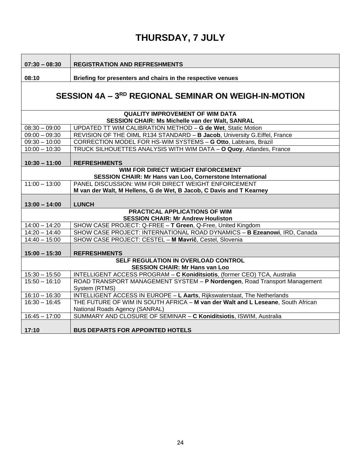**07:30 – 08:30 REGISTRATION AND REFRESHMENTS**

**08:10 Briefing for presenters and chairs in the respective venues**

### **SESSION 4A – 3 RD REGIONAL SEMINAR ON WEIGH-IN-MOTION**

| <b>QUALITY IMPROVEMENT OF WIM DATA</b>                           |                                                                                  |  |
|------------------------------------------------------------------|----------------------------------------------------------------------------------|--|
| <b>SESSION CHAIR: Ms Michelle van der Walt, SANRAL</b>           |                                                                                  |  |
| $08:30 - 09:00$                                                  | UPDATED TT WIM CALIBRATION METHOD - G de Wet, Static Motion                      |  |
| $09:00 - 09:30$                                                  | REVISION OF THE OIML R134 STANDARD - B Jacob, University G. Eiffel, France       |  |
| $09:30 - 10:00$                                                  | CORRECTION MODEL FOR HS-WIM SYSTEMS - G Otto, Labtrans, Brazil                   |  |
| $10:00 - 10:30$                                                  | TRUCK SILHOUETTES ANALYSIS WITH WIM DATA - O Quoy, Atlandes, France              |  |
|                                                                  |                                                                                  |  |
| $10:30 - 11:00$                                                  | <b>REFRESHMENTS</b>                                                              |  |
| WIM FOR DIRECT WEIGHT ENFORCEMENT                                |                                                                                  |  |
| <b>SESSION CHAIR: Mr Hans van Loo, Cornerstone International</b> |                                                                                  |  |
| $11:00 - 13:00$                                                  | <b>PANEL DISCUSSION: WIM FOR DIRECT WEIGHT ENFORCEMENT</b>                       |  |
|                                                                  | M van der Walt, M Hellens, G de Wet, B Jacob, C Davis and T Kearney              |  |
|                                                                  |                                                                                  |  |
| $13:00 - 14:00$                                                  | <b>LUNCH</b>                                                                     |  |
| <b>PRACTICAL APPLICATIONS OF WIM</b>                             |                                                                                  |  |
| <b>SESSION CHAIR: Mr Andrew Houliston</b>                        |                                                                                  |  |
| $14:00 - 14:20$                                                  | SHOW CASE PROJECT: Q-FREE - T Green, Q-Free, United Kingdom                      |  |
| $14:20 - 14:40$                                                  | SHOW CASE PROJECT: INTERNATIONAL ROAD DYNAMICS - B Ezeanowi, IRD, Canada         |  |
| $14:40 - 15:00$                                                  | SHOW CASE PROJECT: CESTEL - M Mavrič, Cestel, Slovenia                           |  |
|                                                                  |                                                                                  |  |
| $15:00 - 15:30$                                                  | <b>REFRESHMENTS</b>                                                              |  |
|                                                                  | <b>SELF REGULATION IN OVERLOAD CONTROL</b>                                       |  |
| <b>SESSION CHAIR: Mr Hans van Loo</b>                            |                                                                                  |  |
| $15:30 - 15:50$                                                  | <b>INTELLIGENT ACCESS PROGRAM - C Koniditsiotis, (former CEO) TCA, Australia</b> |  |
| $15:50 - 16:10$                                                  | ROAD TRANSPORT MANAGEMENT SYSTEM - P Nordengen, Road Transport Management        |  |
|                                                                  | System (RTMS)                                                                    |  |
| $16:10 - 16:30$                                                  | INTELLIGENT ACCESS IN EUROPE - L Aarts, Rijkswaterstaat, The Netherlands         |  |
| $16:30 - 16:45$                                                  | THE FUTURE OF WIM IN SOUTH AFRICA - M van der Walt and L Leseane, South African  |  |
|                                                                  | National Roads Agency (SANRAL)                                                   |  |
| $16:45 - 17:00$                                                  | SUMMARY AND CLOSURE OF SEMINAR - C Koniditsiotis, ISWIM, Australia               |  |
|                                                                  |                                                                                  |  |
| 17:10                                                            | <b>BUS DEPARTS FOR APPOINTED HOTELS</b>                                          |  |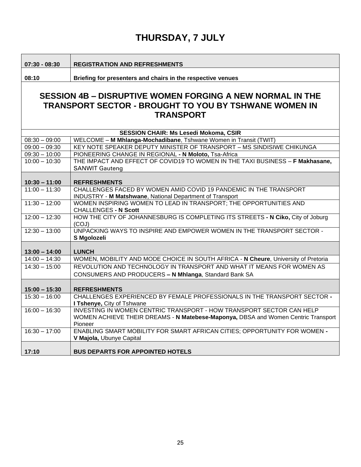**07:30 - 08:30 REGISTRATION AND REFRESHMENTS**

**08:10 Briefing for presenters and chairs in the respective venues**

#### **SESSION 4B – DISRUPTIVE WOMEN FORGING A NEW NORMAL IN THE TRANSPORT SECTOR - BROUGHT TO YOU BY TSHWANE WOMEN IN TRANSPORT**

| <b>SESSION CHAIR: Ms Lesedi Mokoma, CSIR</b> |                                                                                    |
|----------------------------------------------|------------------------------------------------------------------------------------|
| $08:30 - 09:00$                              | WELCOME - M Mhlanga-Mochadibane, Tshwane Women in Transit (TWIT)                   |
| $09:00 - 09:30$                              | KEY NOTE SPEAKER DEPUTY MINISTER OF TRANSPORT - MS SINDISIWE CHIKUNGA              |
| $09:30 - 10:00$                              | PIONEERING CHANGE IN REGIONAL - N Moloto, Tsa-Africa                               |
| $10:00 - 10:30$                              | THE IMPACT AND EFFECT OF COVID19 TO WOMEN IN THE TAXI BUSINESS - F Makhasane,      |
|                                              | <b>SANWIT Gauteng</b>                                                              |
|                                              |                                                                                    |
| $10:30 - 11:00$                              | <b>REFRESHMENTS</b>                                                                |
| $11:00 - 11:30$                              | CHALLENGES FACED BY WOMEN AMID COVID 19 PANDEMIC IN THE TRANSPORT                  |
|                                              | <b>INDUSTRY - M Matshwane, National Department of Transport</b>                    |
| $11:30 - 12:00$                              | WOMEN INSPIRING WOMEN TO LEAD IN TRANSPORT; THE OPPORTUNITIES AND                  |
|                                              | <b>CHALLENGES - N Scott</b>                                                        |
| $12:00 - 12:30$                              | HOW THE CITY OF JOHANNESBURG IS COMPLETING ITS STREETS - N Ciko, City of Joburg    |
| $12:30 - 13:00$                              | (COJ)<br>UNPACKING WAYS TO INSPIRE AND EMPOWER WOMEN IN THE TRANSPORT SECTOR -     |
|                                              | S Mgolozeli                                                                        |
|                                              |                                                                                    |
| $13:00 - 14:00$                              | <b>LUNCH</b>                                                                       |
| $14:00 - 14:30$                              | WOMEN, MOBILITY AND MODE CHOICE IN SOUTH AFRICA - N Cheure, University of Pretoria |
| $14:30 - 15:00$                              | REVOLUTION AND TECHNOLOGY IN TRANSPORT AND WHAT IT MEANS FOR WOMEN AS              |
|                                              | CONSUMERS AND PRODUCERS - N Mhlanga, Standard Bank SA                              |
|                                              |                                                                                    |
|                                              |                                                                                    |
| $15:00 - 15:30$                              | <b>REFRESHMENTS</b>                                                                |
| $15:30 - 16:00$                              | CHALLENGES EXPERIENCED BY FEMALE PROFESSIONALS IN THE TRANSPORT SECTOR -           |
|                                              | I Tshenye, City of Tshwane                                                         |
| $16:00 - 16:30$                              | INVESTING IN WOMEN CENTRIC TRANSPORT - HOW TRANSPORT SECTOR CAN HELP               |
|                                              | WOMEN ACHIEVE THEIR DREAMS - N Matebese-Maponya, DBSA and Women Centric Transport  |
|                                              | Pioneer                                                                            |
| $16:30 - 17:00$                              | ENABLING SMART MOBILITY FOR SMART AFRICAN CITIES; OPPORTUNITY FOR WOMEN -          |
|                                              | V Majola, Ubunye Capital                                                           |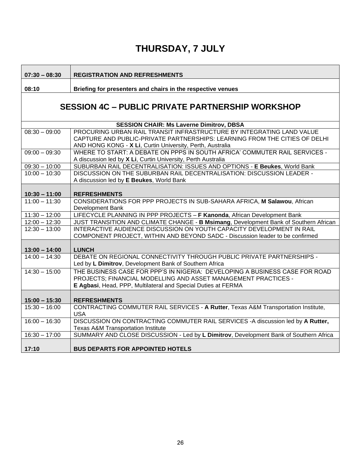**07:30 – 08:30 REGISTRATION AND REFRESHMENTS**

**08:10 Briefing for presenters and chairs in the respective venues**

### **SESSION 4C – PUBLIC PRIVATE PARTNERSHIP WORKSHOP**

|                 | <b>SESSION CHAIR: Ms Laverne Dimitrov, DBSA</b>                                       |  |
|-----------------|---------------------------------------------------------------------------------------|--|
| $08:30 - 09:00$ | PROCURING URBAN RAIL TRANSIT INFRASTRUCTURE BY INTEGRATING LAND VALUE                 |  |
|                 | CAPTURE AND PUBLIC-PRIVATE PARTNERSHIPS: LEARNING FROM THE CITIES OF DELHI            |  |
|                 | AND HONG KONG - X Li, Curtin University, Perth, Australia                             |  |
| $09:00 - 09:30$ | WHERE TO START: A DEBATE ON PPPS IN SOUTH AFRICA' COMMUTER RAIL SERVICES -            |  |
|                 | A discussion led by X Li, Curtin University, Perth Australia                          |  |
| $09:30 - 10:00$ | SUBURBAN RAIL DECENTRALISATION: ISSUES AND OPTIONS - E Beukes, World Bank             |  |
| $10:00 - 10:30$ | DISCUSSION ON THE SUBURBAN RAIL DECENTRALISATION: DISCUSSION LEADER -                 |  |
|                 | A discussion led by E Beukes, World Bank                                              |  |
|                 |                                                                                       |  |
| $10:30 - 11:00$ | <b>REFRESHMENTS</b>                                                                   |  |
| $11:00 - 11:30$ | CONSIDERATIONS FOR PPP PROJECTS IN SUB-SAHARA AFRICA, M Salawou, African              |  |
|                 | <b>Development Bank</b>                                                               |  |
| $11:30 - 12:00$ | LIFECYCLE PLANNING IN PPP PROJECTS - F Kanonda, African Development Bank              |  |
| $12:00 - 12:30$ | JUST TRANSITION AND CLIMATE CHANGE - B Msimang, Development Bank of Southern African  |  |
| $12:30 - 13:00$ | INTERACTIVE AUDIENCE DISCUSSION ON YOUTH CAPACITY DEVELOPMENT IN RAIL                 |  |
|                 | COMPONENT PROJECT, WITHIN AND BEYOND SADC - Discussion leader to be confirmed         |  |
|                 |                                                                                       |  |
| $13:00 - 14:00$ | <b>LUNCH</b>                                                                          |  |
| $14:00 - 14:30$ | DEBATE ON REGIONAL CONNECTIVITY THROUGH PUBLIC PRIVATE PARTNERSHIPS -                 |  |
|                 | Led by L Dimitrov, Development Bank of Southern Africa                                |  |
| $14:30 - 15:00$ | THE BUSINESS CASE FOR PPP'S IN NIGERIA: DEVELOPING A BUSINESS CASE FOR ROAD           |  |
|                 | PROJECTS; FINANCIAL MODELLING AND ASSET MANAGEMENT PRACTICES -                        |  |
|                 | E Agbasi, Head, PPP, Multilateral and Special Duties at FERMA                         |  |
|                 |                                                                                       |  |
| $15:00 - 15:30$ | <b>REFRESHMENTS</b>                                                                   |  |
| $15:30 - 16:00$ | CONTRACTING COMMUTER RAIL SERVICES - A Rutter, Texas A&M Transportation Institute,    |  |
|                 | <b>USA</b>                                                                            |  |
| $16:00 - 16:30$ | DISCUSSION ON CONTRACTING COMMUTER RAIL SERVICES - A discussion led by A Rutter,      |  |
|                 | <b>Texas A&amp;M Transportation Institute</b>                                         |  |
| $16:30 - 17:00$ | SUMMARY AND CLOSE DISCUSSION - Led by L Dimitrov, Development Bank of Southern Africa |  |
|                 |                                                                                       |  |
| 17:10           | <b>BUS DEPARTS FOR APPOINTED HOTELS</b>                                               |  |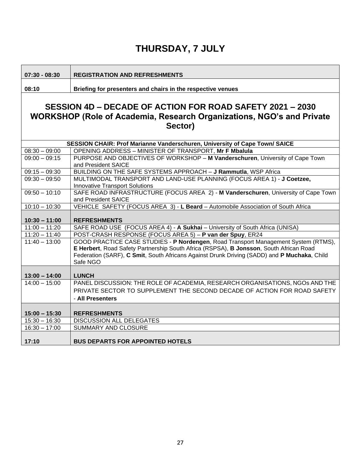**07:30 - 08:30 REGISTRATION AND REFRESHMENTS**

**08:10 Briefing for presenters and chairs in the respective venues**

#### **SESSION 4D – DECADE OF ACTION FOR ROAD SAFETY 2021 – 2030 WORKSHOP (Role of Academia, Research Organizations, NGO's and Private Sector)**

|                 | SESSION CHAIR: Prof Marianne Vanderschuren, University of Cape Town/ SAICE                  |
|-----------------|---------------------------------------------------------------------------------------------|
| $08:30 - 09:00$ | OPENING ADDRESS - MINISTER OF TRANSPORT, Mr F Mbalula                                       |
| $09:00 - 09:15$ | PURPOSE AND OBJECTIVES OF WORKSHOP - M Vanderschuren, University of Cape Town               |
|                 | and President SAICE                                                                         |
| $09:15 - 09:30$ | BUILDING ON THE SAFE SYSTEMS APPROACH - J Rammutla, WSP Africa                              |
| $09:30 - 09:50$ | MULTIMODAL TRANSPORT AND LAND-USE PLANNING (FOCUS AREA 1) - J Coetzee,                      |
|                 | <b>Innovative Transport Solutions</b>                                                       |
| $09:50 - 10:10$ | SAFE ROAD INFRASTRUCTURE (FOCUS AREA 2) - M Vanderschuren, University of Cape Town          |
|                 | and President SAICE                                                                         |
| $10:10 - 10:30$ | VEHICLE SAFETY (FOCUS AREA 3) - L Beard - Automobile Association of South Africa            |
|                 |                                                                                             |
| $10:30 - 11:00$ | <b>REFRESHMENTS</b>                                                                         |
| $11:00 - 11:20$ | SAFE ROAD USE (FOCUS AREA 4) - A Sukhai - University of South Africa (UNISA)                |
| $11:20 - 11:40$ | POST-CRASH RESPONSE (FOCUS AREA 5) - P van der Spuy, ER24                                   |
| $11:40 - 13:00$ | GOOD PRACTICE CASE STUDIES - P Nordengen, Road Transport Management System (RTMS),          |
|                 | E Herbert, Road Safety Partnership South Africa (RSPSA), B Jonsson, South African Road      |
|                 | Federation (SARF), C Smit, South Africans Against Drunk Driving (SADD) and P Muchaka, Child |
|                 | Safe NGO                                                                                    |
|                 |                                                                                             |
| $13:00 - 14:00$ | <b>LUNCH</b>                                                                                |
| $14:00 - 15:00$ | PANEL DISCUSSION: THE ROLE OF ACADEMIA, RESEARCH ORGANISATIONS, NGOs AND THE                |
|                 | PRIVATE SECTOR TO SUPPLEMENT THE SECOND DECADE OF ACTION FOR ROAD SAFETY                    |
|                 | - All Presenters                                                                            |
|                 |                                                                                             |
| $15:00 - 15:30$ | <b>REFRESHMENTS</b>                                                                         |
| $15:30 - 16:30$ | <b>DISCUSSION ALL DELEGATES</b>                                                             |
| $16:30 - 17:00$ | SUMMARY AND CLOSURE                                                                         |
|                 |                                                                                             |
| 17:10           | <b>BUS DEPARTS FOR APPOINTED HOTELS</b>                                                     |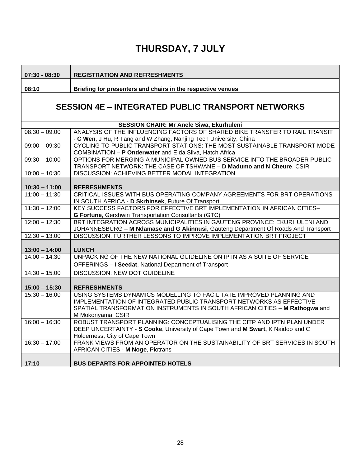**07:30 - 08:30 REGISTRATION AND REFRESHMENTS**

**08:10 Briefing for presenters and chairs in the respective venues**

#### **SESSION 4E – INTEGRATED PUBLIC TRANSPORT NETWORKS**

| <b>SESSION CHAIR: Mr Anele Siwa, Ekurhuleni</b> |                                                                                    |
|-------------------------------------------------|------------------------------------------------------------------------------------|
|                                                 |                                                                                    |
| $08:30 - 09:00$                                 | ANALYSIS OF THE INFLUENCING FACTORS OF SHARED BIKE TRANSFER TO RAIL TRANSIT        |
|                                                 | - C Wen, J Hu, R Tang and W Zhang, Nanjing Tech University, China                  |
| $09:00 - 09:30$                                 | CYCLING TO PUBLIC TRANSPORT STATIONS: THE MOST SUSTAINABLE TRANSPORT MODE          |
|                                                 | COMBINATION - P Onderwater and E da Silva, Hatch Africa                            |
| $09:30 - 10:00$                                 | OPTIONS FOR MERGING A MUNICIPAL OWNED BUS SERVICE INTO THE BROADER PUBLIC          |
|                                                 | TRANSPORT NETWORK: THE CASE OF TSHWANE - D Madumo and N Cheure, CSIR               |
| $10:00 - 10:30$                                 | DISCUSSION: ACHIEVING BETTER MODAL INTEGRATION                                     |
|                                                 |                                                                                    |
| $10:30 - 11:00$                                 | <b>REFRESHMENTS</b>                                                                |
| $11:00 - 11:30$                                 | CRITICAL ISSUES WITH BUS OPERATING COMPANY AGREEMENTS FOR BRT OPERATIONS           |
|                                                 | IN SOUTH AFRICA - D Skrbinsek, Future Of Transport                                 |
| $11:30 - 12:00$                                 | KEY SUCCESS FACTORS FOR EFFECTIVE BRT IMPLEMENTATION IN AFRICAN CITIES-            |
|                                                 | G Fortune, Gershwin Transportation Consultants (GTC)                               |
| $12:00 - 12:30$                                 | BRT INTEGRATION ACROSS MUNICIPALITIES IN GAUTENG PROVINCE: EKURHULENI AND          |
|                                                 | JOHANNESBURG - M Ndamase and G Akinnusi, Gauteng Department Of Roads And Transport |
| $12:30 - 13:00$                                 | DISCUSSION: FURTHER LESSONS TO IMPROVE IMPLEMENTATION BRT PROJECT                  |
|                                                 |                                                                                    |
|                                                 |                                                                                    |
| $13:00 - 14:00$                                 | <b>LUNCH</b>                                                                       |
| $14:00 - 14:30$                                 | UNPACKING OF THE NEW NATIONAL GUIDELINE ON IPTN AS A SUITE OF SERVICE              |
|                                                 | OFFERINGS - I Seedat, National Department of Transport                             |
|                                                 | <b>DISCUSSION: NEW DOT GUIDELINE</b>                                               |
| $14:30 - 15:00$                                 |                                                                                    |
|                                                 |                                                                                    |
| $15:00 - 15:30$                                 | <b>REFRESHMENTS</b>                                                                |
| $15:30 - 16:00$                                 | USING SYSTEMS DYNAMICS MODELLING TO FACILITATE IMPROVED PLANNING AND               |
|                                                 | <b>IMPLEMENTATION OF INTEGRATED PUBLIC TRANSPORT NETWORKS AS EFFECTIVE</b>         |
|                                                 | SPATIAL TRANSFORMATION INSTRUMENTS IN SOUTH AFRICAN CITIES - M Rathogwa and        |
|                                                 | M Mokonyama, CSIR                                                                  |
| $16:00 - 16:30$                                 | ROBUST TRANSPORT PLANNING: CONCEPTUALISING THE CITP AND IPTN PLAN UNDER            |
|                                                 | DEEP UNCERTAINTY - S Cooke, University of Cape Town and M Swart, K Naidoo and C    |
|                                                 | Holderness, City of Cape Town                                                      |
| $16:30 - 17:00$                                 | FRANK VIEWS FROM AN OPERATOR ON THE SUSTAINABILITY OF BRT SERVICES IN SOUTH        |
|                                                 | AFRICAN CITIES - M Noge, Piotrans                                                  |
| 17:10                                           | <b>BUS DEPARTS FOR APPOINTED HOTELS</b>                                            |